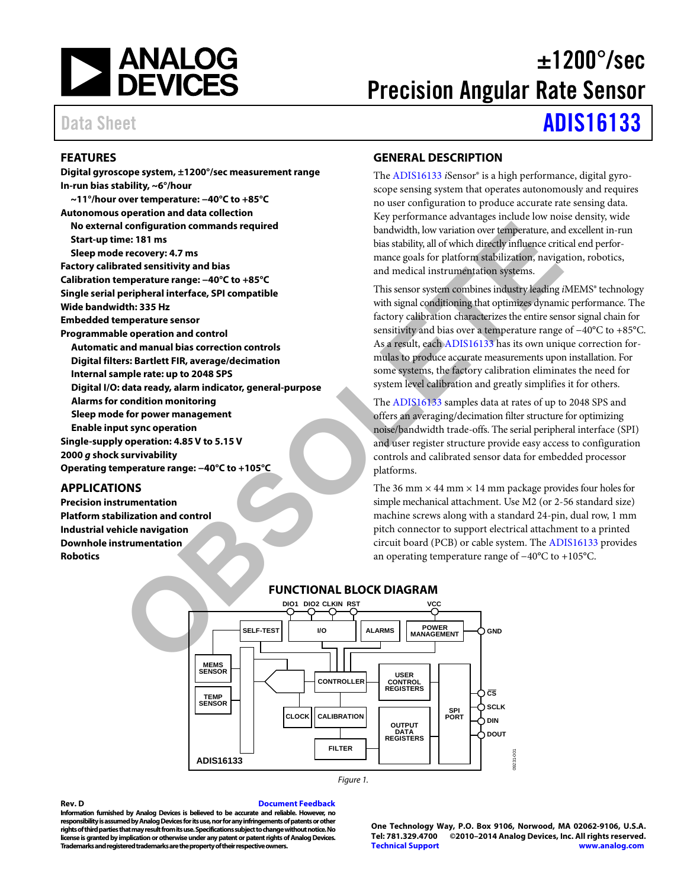

# $\pm 1200^{\circ}/\text{sec}$ Precision Angular Rate Sensor

# Data Sheet **[ADIS16133](http://www.analog.com/ADIS16133?doc=ADIS16133.pdf)**

### <span id="page-0-0"></span>**FEATURES**

**Digital gyroscope system, ±1200°/sec measurement range In-run bias stability, ~6°/hour ~11°/hour over temperature: −40°C to +85°C Autonomous operation and data collection No external configuration commands required Start-up time: 181 ms Sleep mode recovery: 4.7 ms Factory calibrated sensitivity and bias Calibration temperature range: −40°C to +85°C Single serial peripheral interface, SPI compatible Wide bandwidth: 335 Hz Embedded temperature sensor Programmable operation and control Automatic and manual bias correction controls Digital filters: Bartlett FIR, average/decimation Internal sample rate: up to 2048 SPS Digital I/O: data ready, alarm indicator, general-purpose Alarms for condition monitoring Sleep mode for power management Enable input sync operation Single-supply operation: 4.85 V to 5.15 V 2000** *g* **shock survivability Operating temperature range: −40°C to +105°C CONS**<br> **CONSULTERIST AND CONSULTERED AND CONSULTER CONSULTER TO PERENT AND CONSULTER THE CONSULTER THE CONSULTER THE CONSULTER THE CONSULTER THE ADVIS OF THE CONSULTER THE CONSULTER THE CONSULTER THE CONSULTER THE CONSULT** 

### <span id="page-0-1"></span>**APPLICATIONS**

**Precision instrumentation Platform stabilization and control Industrial vehicle navigation Downhole instrumentation Robotics** 

### <span id="page-0-2"></span>**GENERAL DESCRIPTION**

The [ADIS16133](http://www.analog.com/ADIS16133?doc=ADIS16133.pdf) *i*Sensor® is a high performance, digital gyroscope sensing system that operates autonomously and requires no user configuration to produce accurate rate sensing data. Key performance advantages include low noise density, wide bandwidth, low variation over temperature, and excellent in-run bias stability, all of which directly influence critical end performance goals for platform stabilization, navigation, robotics, and medical instrumentation systems.

This sensor system combines industry leading *i*MEMS® technology with signal conditioning that optimizes dynamic performance. The factory calibration characterizes the entire sensor signal chain for sensitivity and bias over a temperature range of −40°C to +85°C. As a result, each ADIS16133 has its own unique correction formulas to produce accurate measurements upon installation. For some systems, the factory calibration eliminates the need for system level calibration and greatly simplifies it for others.

The ADIS16133 samples data at rates of up to 2048 SPS and offers an averaging/decimation filter structure for optimizing noise/bandwidth trade-offs. The serial peripheral interface (SPI) and user register structure provide easy access to configuration controls and calibrated sensor data for embedded processor platforms.

The 36 mm  $\times$  44 mm  $\times$  14 mm package provides four holes for simple mechanical attachment. Use M2 (or 2-56 standard size) machine screws along with a standard 24-pin, dual row, 1 mm pitch connector to support electrical attachment to a printed circuit board (PCB) or cable system. Th[e ADIS16133](http://www.analog.com/ADIS16133?doc=ADIS16133.pdf) provides an operating temperature range of −40°C to +105°C.

<span id="page-0-3"></span>

*Figure 1.* 

**Rev. D [Document Feedback](https://form.analog.com/Form_Pages/feedback/documentfeedback.aspx?doc=ADIS16133.pdf&product=ADIS16133&rev=D) Information furnished by Analog Devices is believed to be accurate and reliable. However, no responsibility is assumed by Analog Devices for its use, nor for any infringements of patents or other rights of third parties that may result from its use. Specifications subject to change without notice. No license is granted by implication or otherwise under any patent or patent rights of Analog Devices. Trademarks and registered trademarks are the property of their respective owners.**

**One Technology Way, P.O. Box 9106, Norwood, MA 02062-9106, U.S.A. Tel: 781.329.4700 ©2010–2014 Analog Devices, Inc. All rights reserved. [Technical Support](http://www.analog.com/en/content/technical_support_page/fca.html) [www.analog.com](http://www.analog.com/)**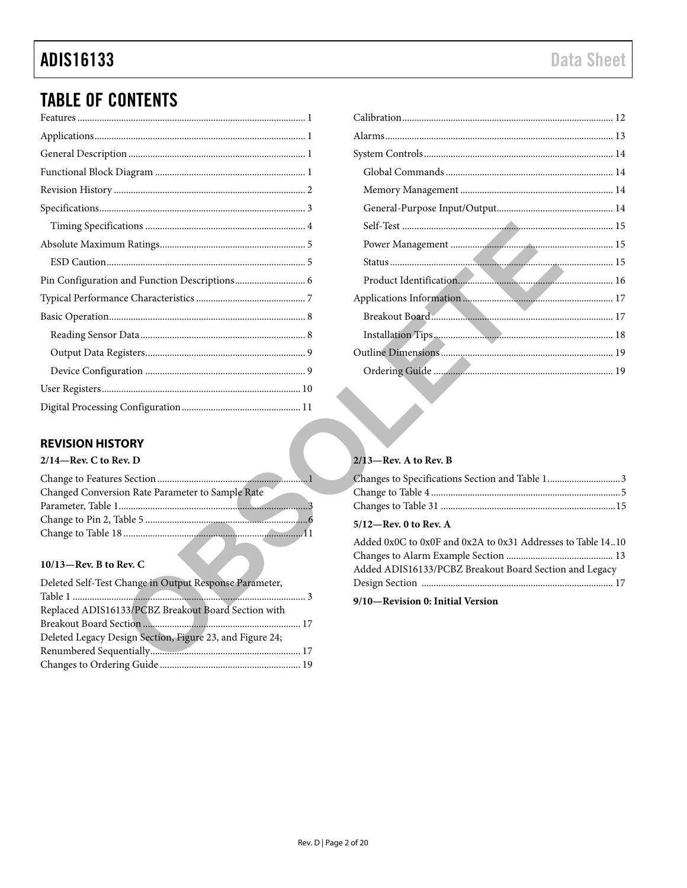# **ADIS16133**

## **TABLE OF CONTENTS**

### <span id="page-1-0"></span>**REVISION HISTORY**

| $2/14$ —Rev. C to Rev. D                         |  |  |
|--------------------------------------------------|--|--|
|                                                  |  |  |
| Changed Conversion Rate Parameter to Sample Rate |  |  |
|                                                  |  |  |
|                                                  |  |  |
|                                                  |  |  |
|                                                  |  |  |

### $10/13$ –Rev. B to Rev. C

| Deleted Self-Test Change in Output Response Parameter,   |  |
|----------------------------------------------------------|--|
|                                                          |  |
| Replaced ADIS16133/PCBZ Breakout Board Section with      |  |
|                                                          |  |
| Deleted Legacy Design Section, Figure 23, and Figure 24; |  |
|                                                          |  |
|                                                          |  |

### $2/13$ –Rev. A to Rev. B

| Changes to Specifications Section and Table 13 |  |
|------------------------------------------------|--|
|                                                |  |
|                                                |  |
|                                                |  |

### $5/12$ -Rev. 0 to Rev. A

| Added 0x0C to 0x0F and 0x2A to 0x31 Addresses to Table 1410 |  |
|-------------------------------------------------------------|--|
|                                                             |  |
| Added ADIS16133/PCBZ Breakout Board Section and Legacy      |  |
|                                                             |  |
|                                                             |  |

9/10-Revision 0: Initial Version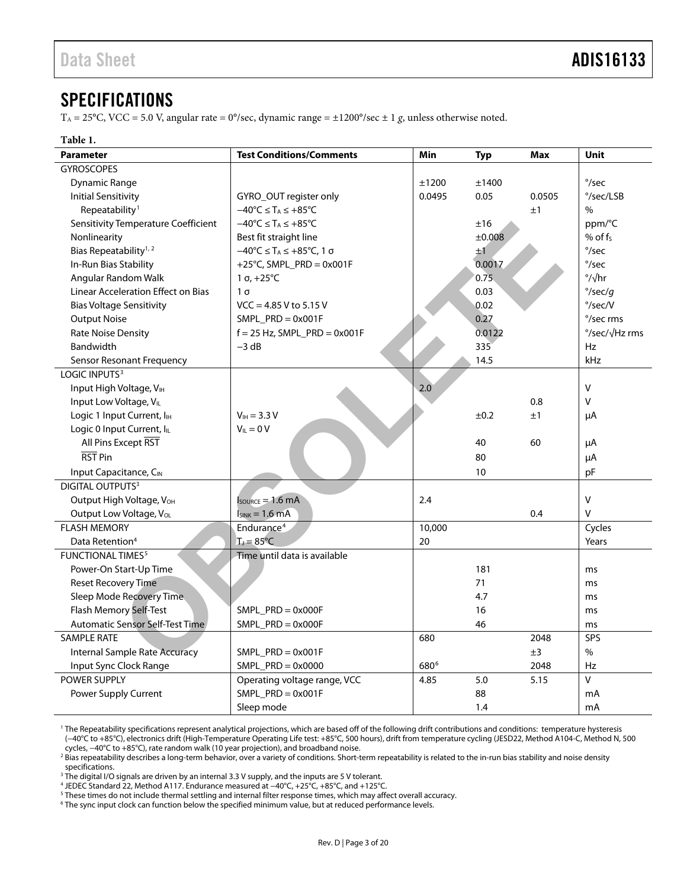### <span id="page-2-0"></span>**SPECIFICATIONS**

T<sub>A</sub> = 25°C, VCC = 5.0 V, angular rate = 0°/sec, dynamic range =  $\pm$ 1200°/sec  $\pm$  1 g, unless otherwise noted.

### **Table 1.**

| <b>Parameter</b>                      | <b>Test Conditions/Comments</b>                                           | Min              | <b>Typ</b> | <b>Max</b> | <b>Unit</b>               |
|---------------------------------------|---------------------------------------------------------------------------|------------------|------------|------------|---------------------------|
| <b>GYROSCOPES</b>                     |                                                                           |                  |            |            |                           |
| Dynamic Range                         |                                                                           | ±1200            | ±1400      |            | $\degree$ /sec            |
| <b>Initial Sensitivity</b>            | GYRO_OUT register only                                                    | 0.0495           | 0.05       | 0.0505     | $\degree$ /sec/LSB        |
| Repeatability <sup>1</sup>            | $-40^{\circ}$ C $\leq$ T <sub>A</sub> $\leq$ +85 $^{\circ}$ C             |                  |            | ±1         | $\%$                      |
| Sensitivity Temperature Coefficient   | $-40^{\circ}$ C $\leq$ T <sub>A</sub> $\leq$ +85 $^{\circ}$ C             |                  | ±16        |            | ppm/°C                    |
| Nonlinearity                          | Best fit straight line                                                    |                  | ±0.008     |            | % of $f_s$                |
| Bias Repeatability <sup>1, 2</sup>    | $-40^{\circ}$ C $\leq$ T <sub>A</sub> $\leq$ +85 $^{\circ}$ C, 1 $\sigma$ |                  | $\pm 1$    |            | $\degree$ /sec            |
| In-Run Bias Stability                 | +25°C, SMPL_PRD = $0x001F$                                                |                  | 0.0017     |            | $\degree$ /sec            |
| Angular Random Walk                   | $1 \sigma$ , +25°C                                                        |                  | 0.75       |            | $\frac{\circ}{\sqrt{hr}}$ |
| Linear Acceleration Effect on Bias    | $1\sigma$                                                                 |                  | 0.03       |            | $\degree$ /sec/q          |
| <b>Bias Voltage Sensitivity</b>       | $VCC = 4.85 V$ to 5.15 V                                                  |                  | 0.02       |            | $\degree$ /sec/V          |
| <b>Output Noise</b>                   | $SMPL_PRD = 0x001F$                                                       |                  | 0.27       |            | °/sec rms                 |
| <b>Rate Noise Density</b>             | $f = 25$ Hz, SMPL_PRD = 0x001F                                            |                  | 0.0122     |            | °/sec/√Hz rms             |
| Bandwidth                             | $-3$ dB                                                                   |                  | 335        |            | <b>Hz</b>                 |
| Sensor Resonant Frequency             |                                                                           |                  | 14.5       |            | kHz                       |
| LOGIC INPUTS <sup>3</sup>             |                                                                           |                  |            |            |                           |
| Input High Voltage, VIH               |                                                                           | 2.0              |            |            | $\vee$                    |
| Input Low Voltage, VIL                |                                                                           |                  |            | 0.8        | $\vee$                    |
| Logic 1 Input Current, I <sub>H</sub> | $V_{IH} = 3.3 V$                                                          |                  | ±0.2       | ±1         | μA                        |
| Logic 0 Input Current, ILL            | $V_{IL} = 0 V$                                                            |                  |            |            |                           |
| All Pins Except RST                   |                                                                           |                  | 40         | 60         | μA                        |
| RST <sub>Pin</sub>                    |                                                                           |                  | 80         |            | μA                        |
| Input Capacitance, CIN                |                                                                           |                  | 10         |            | pF                        |
| DIGITAL OUTPUTS <sup>3</sup>          |                                                                           |                  |            |            |                           |
| Output High Voltage, V <sub>OH</sub>  | $I_{\text{SOWRCE}} = 1.6 \text{ mA}$                                      | 2.4              |            |            | $\vee$                    |
| Output Low Voltage, VoL               | $I_{SINK} = 1.6 mA$                                                       |                  |            | 0.4        | $\vee$                    |
| <b>FLASH MEMORY</b>                   | Endurance <sup>4</sup>                                                    | 10,000           |            |            | Cycles                    |
| Data Retention <sup>4</sup>           | $T_1 = 85^{\circ}C$                                                       | 20               |            |            | Years                     |
| <b>FUNCTIONAL TIMES<sup>5</sup></b>   | Time until data is available                                              |                  |            |            |                           |
| Power-On Start-Up Time                |                                                                           |                  | 181        |            | ms                        |
| <b>Reset Recovery Time</b>            |                                                                           |                  | 71         |            | ms                        |
| Sleep Mode Recovery Time              |                                                                           |                  | 4.7        |            | ms                        |
| Flash Memory Self-Test                | $SMPL$ PRD = 0x000F                                                       |                  | 16         |            | ms                        |
| Automatic Sensor Self-Test Time       | $SMPL$ _PRD = 0x000F                                                      |                  | 46         |            | ms                        |
| <b>SAMPLE RATE</b>                    |                                                                           | 680              |            | 2048       | SPS                       |
| <b>Internal Sample Rate Accuracy</b>  | $SMPL$ PRD = 0x001F                                                       |                  |            | ±3         | $\frac{0}{0}$             |
| Input Sync Clock Range                | $SMPL$ PRD = 0x0000                                                       | 680 <sup>6</sup> |            | 2048       | <b>Hz</b>                 |
| <b>POWER SUPPLY</b>                   | Operating voltage range, VCC                                              | 4.85             | 5.0        | 5.15       | $\vee$                    |
| Power Supply Current                  | $SMPL$ _PRD = 0x001F                                                      |                  | 88         |            | mA                        |
|                                       | Sleep mode                                                                |                  | 1.4        |            | mA                        |

<sup>&</sup>lt;sup>1</sup> The Repeatability specifications represent analytical projections, which are based off of the following drift contributions and conditions: temperature hysteresis (−40°C to +85°C), electronics drift (High-Temperature Operating Life test: +85°C, 500 hours), drift from temperature cycling (JESD22, Method A104-C, Method N, 500 cycles, −40°C to +85°C), rate random walk (10 year projection), and broadband noise.

 $^3$  The digital I/O signals are driven by an internal 3.3 V supply, and the inputs are 5 V tolerant.

<sup>4</sup> JEDEC Standard 22, Method A117. Endurance measured at −40°C, +25°C, +85°C, and +125°C.

<sup>6</sup> The sync input clock can function below the specified minimum value, but at reduced performance levels.

<sup>&</sup>lt;sup>2</sup> Bias repeatability describes a long-term behavior, over a variety of conditions. Short-term repeatability is related to the in-run bias stability and noise density specifications.

 $^5$  These times do not include thermal settling and internal filter response times, which may affect overall accuracy.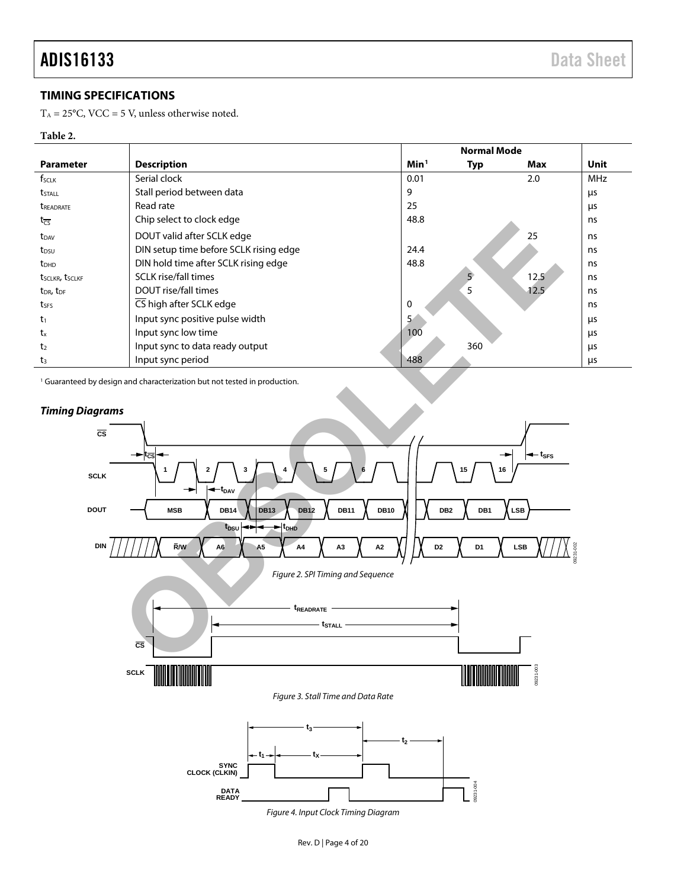### <span id="page-3-0"></span>**TIMING SPECIFICATIONS**

 $\mathrm{T_A} = 25^{\circ}\mathrm{C}, \, \mathrm{VCC} = 5$  V, unless otherwise noted.

### **Table 2.**

|                         |                                        | <b>Normal Mode</b> |             |      |            |
|-------------------------|----------------------------------------|--------------------|-------------|------|------------|
| <b>Parameter</b>        | <b>Description</b>                     | Min <sup>1</sup>   | <b>Typ</b>  | Max  | Unit       |
| fsclk                   | Serial clock                           | 0.01               |             | 2.0  | <b>MHz</b> |
| t <sub>stall</sub>      | Stall period between data              | 9                  |             |      | μs         |
| <b><i>UREADRATE</i></b> | Read rate                              | 25                 |             |      | μs         |
| $t_{\overline{CS}}$     | Chip select to clock edge              | 48.8               |             |      | ns         |
| t <sub>DAV</sub>        | DOUT valid after SCLK edge             |                    |             | 25   | ns         |
| t <sub>DSU</sub>        | DIN setup time before SCLK rising edge | 24.4               |             |      | ns         |
| $t_{DHD}$               | DIN hold time after SCLK rising edge   | 48.8               |             |      | ns         |
| tsclkr, tsclkf          | <b>SCLK</b> rise/fall times            |                    | $5^{\circ}$ | 12.5 | ns         |
| $t_{DR}$ , $t_{DF}$     | DOUT rise/fall times                   |                    | 5           | 12.5 | ns         |
| tses                    | CS high after SCLK edge                | $\Omega$           |             |      | ns         |
| $t_1$                   | Input sync positive pulse width        | 5.                 |             |      | μs         |
| tx                      | Input sync low time                    | 100                |             |      | μs         |
| t <sub>2</sub>          | Input sync to data ready output        |                    | 360         |      | μs         |
| $t_3$                   | Input sync period                      | 488                |             |      | μs         |

<sup>1</sup> Guaranteed by design and characterization but not tested in production.



*Figure 4. Input Clock Timing Diagram*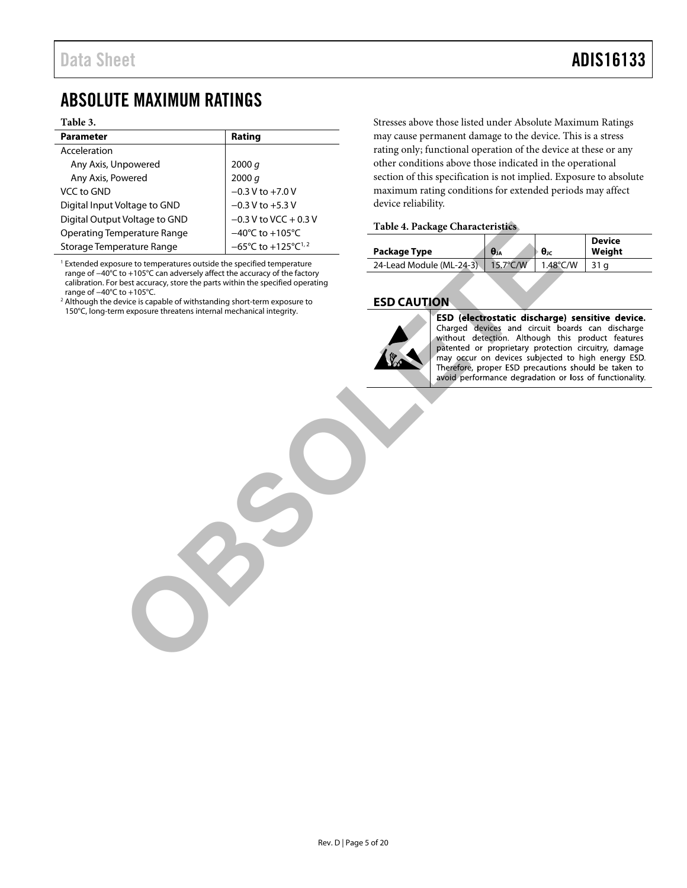### <span id="page-4-0"></span>ABSOLUTE MAXIMUM RATINGS

#### **Table 3.**

| <b>Parameter</b>              | Rating                                              |
|-------------------------------|-----------------------------------------------------|
| Acceleration                  |                                                     |
| Any Axis, Unpowered           | 2000 q                                              |
| Any Axis, Powered             | 2000 q                                              |
| VCC to GND                    | $-0.3 V$ to $+7.0 V$                                |
| Digital Input Voltage to GND  | $-0.3$ V to $+5.3$ V                                |
| Digital Output Voltage to GND | $-0.3$ V to VCC + 0.3 V                             |
| Operating Temperature Range   | $-40^{\circ}$ C to $+105^{\circ}$ C                 |
| Storage Temperature Range     | $-65^{\circ}$ C to +125 $^{\circ}$ C <sup>1,2</sup> |

<sup>1</sup> Extended exposure to temperatures outside the specified temperature range of −40°C to +105°C can adversely affect the accuracy of the factory calibration. For best accuracy, store the parts within the specified operating range of −40°C to +105°C.

<sup>2</sup> Although the device is capable of withstanding short-term exposure to 150°C, long-term exposure threatens internal mechanical integrity.

Stresses above those listed under Absolute Maximum Ratings may cause permanent damage to the device. This is a stress rating only; functional operation of the device at these or any other conditions above those indicated in the operational section of this specification is not implied. Exposure to absolute maximum rating conditions for extended periods may affect device reliability.

### **Table 4. Package Characteristics**

| Package Type             | $\theta$ JA        | $\theta$ | <b>Device</b><br>Weight |
|--------------------------|--------------------|----------|-------------------------|
| 24-Lead Module (ML-24-3) | $15.7^{\circ}$ C/W | 1.48°C/W |                         |

### <span id="page-4-1"></span>**ESD CAUTION**



For the transporter control of the second the specified terms existence of the second terms of the specified terms existed the specified terms existed the specified terms existed the specified terms existed the specified t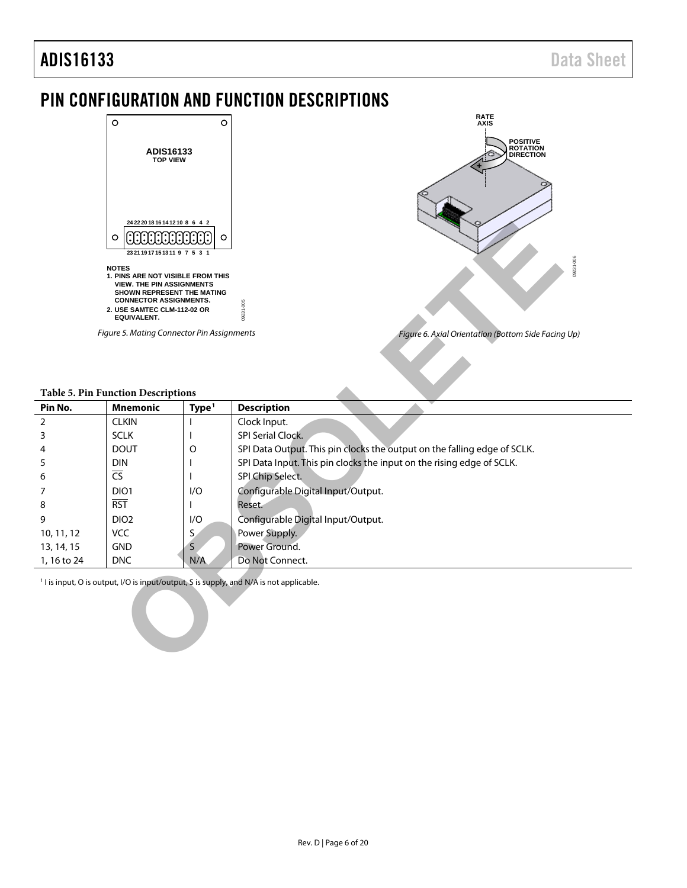### <span id="page-5-0"></span>PIN CONFIGURATION AND FUNCTION DESCRIPTIONS



### <span id="page-5-1"></span>**Table 5. Pin Function Descriptions**

|                | 24 22 20 18 16 14 12 10 8 6 4 2<br><b>ANANANANAN</b><br>$\circ$<br>2321191715131197531<br><b>NOTES</b><br>1. PINS ARE NOT VISIBLE FROM THIS<br><b>VIEW. THE PIN ASSIGNMENTS</b><br>SHOWN REPRESENT THE MATING<br><b>CONNECTOR ASSIGNMENTS.</b><br>2. USE SAMTEC CLM-112-02 OR<br><b>EQUIVALENT.</b><br>Figure 5. Mating Connector Pin Assignments | $\circ$           | 09231-006<br>000-1828<br>Figure 6. Axial Orientation (Bottom Side Facing Up)                       |
|----------------|---------------------------------------------------------------------------------------------------------------------------------------------------------------------------------------------------------------------------------------------------------------------------------------------------------------------------------------------------|-------------------|----------------------------------------------------------------------------------------------------|
|                | <b>Table 5. Pin Function Descriptions</b>                                                                                                                                                                                                                                                                                                         |                   |                                                                                                    |
| Pin No.        | <b>Mnemonic</b>                                                                                                                                                                                                                                                                                                                                   | Type <sup>1</sup> | <b>Description</b>                                                                                 |
| $\overline{2}$ | <b>CLKIN</b>                                                                                                                                                                                                                                                                                                                                      |                   | Clock Input.                                                                                       |
| 3              | <b>SCLK</b>                                                                                                                                                                                                                                                                                                                                       |                   | <b>SPI Serial Clock.</b>                                                                           |
| 4              | <b>DOUT</b>                                                                                                                                                                                                                                                                                                                                       | O                 | SPI Data Output. This pin clocks the output on the falling edge of SCLK.                           |
| 5              | <b>DIN</b>                                                                                                                                                                                                                                                                                                                                        |                   | SPI Data Input. This pin clocks the input on the rising edge of SCLK.                              |
| 6              | $\overline{\text{CS}}$                                                                                                                                                                                                                                                                                                                            |                   | SPI Chip Select.                                                                                   |
| 7              | DIO1                                                                                                                                                                                                                                                                                                                                              | I/O               | Configurable Digital Input/Output.                                                                 |
| 8              | <b>RST</b>                                                                                                                                                                                                                                                                                                                                        |                   | Reset.                                                                                             |
| 9              | DIO <sub>2</sub>                                                                                                                                                                                                                                                                                                                                  | I/O               | Configurable Digital Input/Output.                                                                 |
| 10, 11, 12     | VCC                                                                                                                                                                                                                                                                                                                                               | S,                | Power Supply.                                                                                      |
| 13, 14, 15     | <b>GND</b>                                                                                                                                                                                                                                                                                                                                        | S                 | Power Ground.                                                                                      |
| 1, 16 to 24    | <b>DNC</b>                                                                                                                                                                                                                                                                                                                                        | N/A               | Do Not Connect.                                                                                    |
|                |                                                                                                                                                                                                                                                                                                                                                   |                   | <sup>1</sup> I is input, O is output, I/O is input/output, S is supply, and N/A is not applicable. |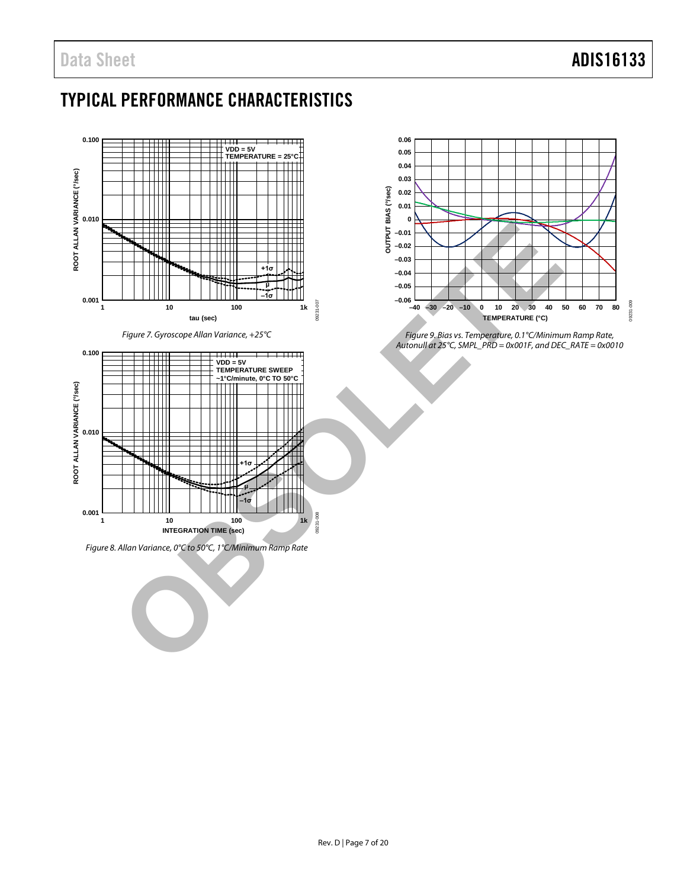## <span id="page-6-0"></span>TYPICAL PERFORMANCE CHARACTERISTICS



<span id="page-6-1"></span>*Figure 7. Gyroscope Allan Variance, +25°C*



*Figure 8. Allan Variance, 0°C to 50°C, 1°C/Minimum Ramp Rate*



*Figure 9. Bias vs. Temperature, 0.1°C/Minimum Ramp Rate, Autonull at 25°C, SMPL\_PRD = 0x001F, and DEC\_RATE = 0x0010*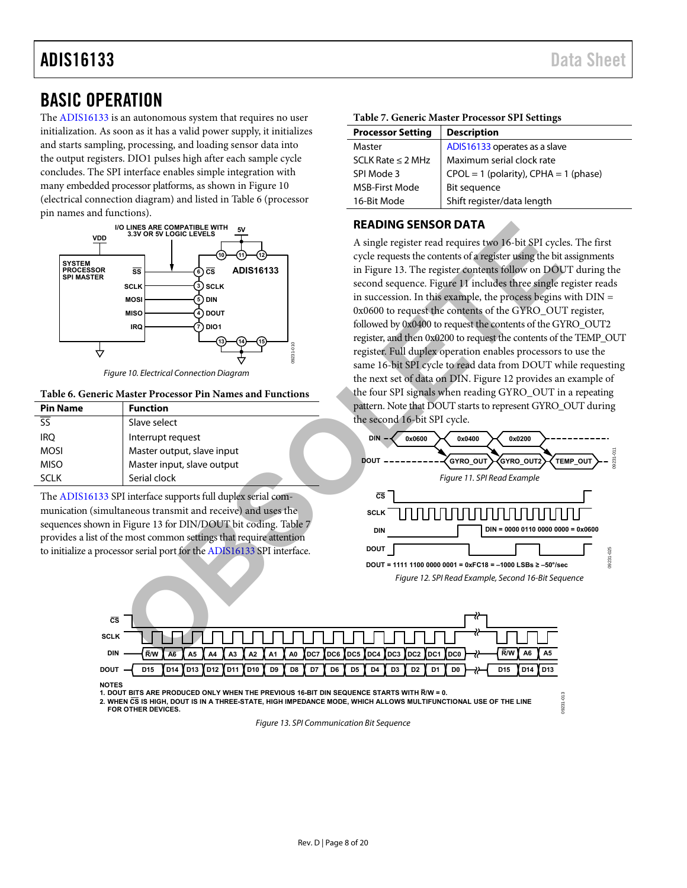## ADIS16133 Data Sheet

### <span id="page-7-0"></span>BASIC OPERATION

The [ADIS16133](http://www.analog.com/ADIS16133?doc=ADIS16133.pdf) is an autonomous system that requires no user initialization. As soon as it has a valid power supply, it initializes and starts sampling, processing, and loading sensor data into the output registers. DIO1 pulses high after each sample cycle concludes. The SPI interface enables simple integration with many embedded processor platforms, as shown in [Figure 10](#page-7-2)  (electrical connection diagram) and listed i[n Table 6 \(](#page-7-3)processor pin names and functions).



Figure 10. Electrical Connection Diagram

#### <span id="page-7-3"></span><span id="page-7-2"></span>**Table 6. Generic Master Processor Pin Names and Functions**

| <b>Pin Name</b>                   | <b>Function</b>            |  |
|-----------------------------------|----------------------------|--|
| $\overline{\overline{\text{SS}}}$ | Slave select               |  |
| <b>IRO</b>                        | Interrupt request          |  |
| <b>MOSI</b>                       | Master output, slave input |  |
| <b>MISO</b>                       | Master input, slave output |  |
| SCI K                             | Serial clock               |  |

The [ADIS16133](http://www.analog.com/ADIS16133?doc=ADIS16133.pdf) SPI interface supports full duplex serial communication (simultaneous transmit and receive) and uses the sequences shown in Figure 13 for DIN/DOUT bit coding. Table 7 provides a list of the most common settings that require attention to initialize a processor serial port for the ADIS16133 SPI interface.

### <span id="page-7-5"></span>**Table 7. Generic Master Processor SPI Settings**

| <b>Processor Setting</b> | <b>Description</b>                        |
|--------------------------|-------------------------------------------|
| Master                   | ADIS16133 operates as a slave             |
| SCLK Rate $\leq$ 2 MHz   | Maximum serial clock rate                 |
| SPI Mode 3               | $CPOL = 1$ (polarity), $CPHA = 1$ (phase) |
| <b>MSB-First Mode</b>    | Bit sequence                              |
| 16-Bit Mode              | Shift register/data length                |

### <span id="page-7-1"></span>**READING SENSOR DATA**

A single register read requires two 16-bit SPI cycles. The first cycle requests the contents of a register using the bit assignments in Figure 13. The register contents follow on DOUT during the second sequence. Figure 11 includes three single register reads in succession. In this example, the process begins with  $DIN =$ 0x0600 to request the contents of the GYRO\_OUT register, followed by 0x0400 to request the contents of the GYRO\_OUT2 register, and then 0x0200 to request the contents of the TEMP\_OUT register. Full duplex operation enables processors to use the same 16-bit SPI cycle to read data from DOUT while requesting the next set of data on DIN. Figure 12 provides an example of the four SPI signals when reading GYRO\_OUT in a repeating pattern. Note that DOUT starts to represent GYRO\_OUT during the second 16-bit SPI cycle. NOR [S](#page-7-5)[E](#page-7-7)NSOR DA[T](#page-7-6)A<br>
SINCRESS ADESTRISOR DATA<br>
SEADING SENSOR DATA<br>
SEADING SENSOR DATA<br>
SEADING SENSOR DATA<br>
SEADING SENSOR DATA<br>
SEADING SENSOR DATA<br>
SEADING SENSOR DATA<br>
SEADING SERISOR DATA<br>
SEADING SERISOR DATA<br>
SEADING S

<span id="page-7-7"></span><span id="page-7-6"></span>

09231-013

 $9231$ 



**1. DOUT BITS ARE PRODUCED ONLY WHEN THE PREVIOUS 16-BIT DIN SEQUENCE STARTS WITH R/W = 0.**

<span id="page-7-4"></span>**2. WHEN CS IS HIGH, DOUT IS IN A THREE-STATE, HIGH IMPEDANCE MODE, WHICH ALLOWS MULTIFUNCTIONAL USE OF THE LINE FOR OTHER DEVICES.**

Figure 13. SPI Communication Bit Sequence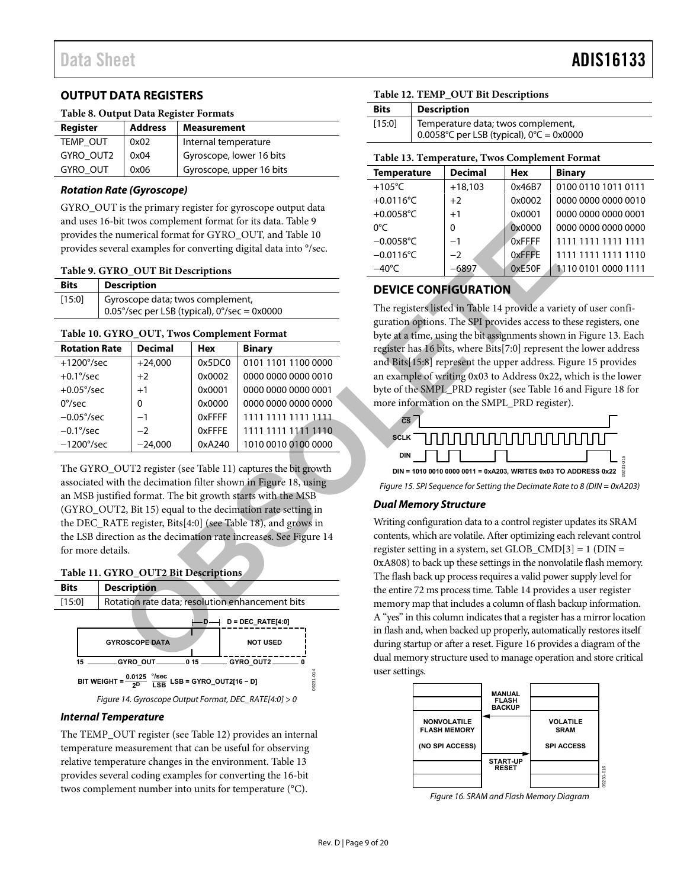### <span id="page-8-0"></span>**OUTPUT DATA REGISTERS**

### **Table 8. Output Data Register Formats**

| Register        | <b>Address</b> | <b>Measurement</b>       |
|-----------------|----------------|--------------------------|
| TEMP OUT        | 0x02           | Internal temperature     |
| GYRO OUT2       | 0x04           | Gyroscope, lower 16 bits |
| <b>GYRO OUT</b> | 0x06           | Gyroscope, upper 16 bits |

### **Rotation Rate (Gyroscope)**

GYRO\_OUT is the primary register for gyroscope output data and uses 16-bit twos complement format for its data. [Table 9](#page-8-2)  provides the numerical format for GYRO\_OUT, and Table 10 provides several examples for converting digital data into °/sec.

#### <span id="page-8-2"></span>**Table 9. GYRO\_OUT Bit Descriptions**

| <b>Bits</b> | <b>Description</b>                                                                       |
|-------------|------------------------------------------------------------------------------------------|
| [15:0]      | Gyroscope data; twos complement,<br>$\vert$ 0.05°/sec per LSB (typical), 0°/sec = 0x0000 |

#### <span id="page-8-3"></span>**Table 10. GYRO\_OUT, Twos Complement Format**

| <b>Rotation Rate</b> | <b>Decimal</b> | Hex    | <b>Binary</b>       |
|----------------------|----------------|--------|---------------------|
| $+1200^{\circ}/sec$  | $+24.000$      | 0x5DC0 | 0101 1101 1100 0000 |
| $+0.1\degree$ /sec   | $+2$           | 0x0002 | 0000 0000 0000 0010 |
| $+0.05^{\circ}/sec$  | $+1$           | 0x0001 | 0000 0000 0000 0001 |
| $0^{\circ}/sec$      | 0              | 0x0000 | 0000 0000 0000 0000 |
| $-0.05^{\circ}/sec$  | $-1$           | 0xFFFF | 1111 1111 1111 1111 |
| $-0.1\degree$ /sec   | $-2$           | 0xFFFE | 1111 1111 1111 1110 |
| $-1200^{\circ}/sec$  | $-24.000$      | 0xA240 | 1010 0010 0100 0000 |

The GYRO\_OUT2 register (see Table 11) captures the bit growth associated with the decimation filter shown in Figure 18, using an MSB justified format. The bit growth starts with the MSB (GYRO\_OUT2, Bit 15) equal to the decimation rate setting in the DEC\_RATE register, Bits[4:0] (see Table 18), and grows in the LSB direction as the decimation rate increases. See Figure 14 for more details.

<span id="page-8-4"></span>



#### <span id="page-8-5"></span>**Internal Temperature**

The TEMP\_OUT register (se[e Table 12\)](#page-8-6) provides an internal temperature measurement that can be useful for observing relative temperature changes in the environment. [Table 13](#page-8-7)  provides several coding examples for converting the 16-bit twos complement number into units for temperature (°C).

### <span id="page-8-6"></span>**Table 12. TEMP\_OUT Bit Descriptions**

| <b>Bits</b> | <b>Description</b>                                                                             |
|-------------|------------------------------------------------------------------------------------------------|
| [15:0]      | Temperature data; twos complement,<br>0.0058°C per LSB (typical), $0^{\circ}C = 0 \times 0000$ |

### <span id="page-8-7"></span>**Table 13. Temperature, Twos Complement Format**

| <b>Temperature</b> | <b>Decimal</b> | <b>Hex</b>    | <b>Binary</b>       |
|--------------------|----------------|---------------|---------------------|
| $+105^{\circ}$ C   | $+18,103$      | 0x46B7        | 0100 0110 1011 0111 |
| $+0.0116$ °C       | $+2$           | 0x0002        | 0000 0000 0000 0010 |
| $+0.0058$ °C       | $+1$           | 0x0001        | 0000 0000 0000 0001 |
| $0^{\circ}C$       | $\Omega$       | 0x0000        | 0000 0000 0000 0000 |
| $-0.0058$ °C       | $-1$           | <b>OxFEFF</b> | 1111 1111 1111 1111 |
| $-0.0116$ °C       | $-2$           | 0xFFFE        | 1111 1111 1111 1110 |
| $-40^{\circ}$ C    | $-6897$        | 0xE50F        | 1110 0101 0000 1111 |

### <span id="page-8-1"></span>**DEVICE CONFIGURATION**

The registers listed in Table 14 provide a variety of user configuration options. The SPI provides access to these registers, one byte at a time, using the bit assignments shown in [Figure 13.](#page-7-4) Each register has 16 bits, where Bits[7:0] represent the lower address and Bits[15:8] represent the upper address[. Figure 15 p](#page-8-8)rovides an example of writing 0x03 to Address 0x22, which is the lower byte of the SMPL\_PRD register (see Table 16 and [Figure 18 f](#page-10-1)or more information on the SMPL\_PRD register).



<span id="page-8-8"></span>Figure 15. SPI Sequence for Setting the Decimate Rate to 8 (DIN = 0xA203)

### **Dual Memory Structure**

Writing configuration data to a control register updates its SRAM contents, which are volatile. After optimizing each relevant control register setting in a system, set GLOB\_CMD[3] = 1 (DIN = 0xA808) to back up these settings in the nonvolatile flash memory. The flash back up process requires a valid power supply level for the entire 72 ms process time. Table 14 provides a user register memory map that includes a column of flash backup information. A "yes" in this column indicates that a register has a mirror location in flash and, when backed up properly, automatically restores itself during startup or after a reset. Figure 16 provides a diagram of the dual memory structure used to manage operation and store critical user settings. Fit We competent format for Fit Description<br>
In examples for converting digital data into '9sec.<br>
In examples for converting digital data into '9sec.<br> **OCOUTIEN DESCRIPTION**<br>
COUTIENTS (See Fig. 1)<br> **OCOUTIENTS (See F** 



<span id="page-8-9"></span>Figure 16. SRAM and Flash Memory Diagram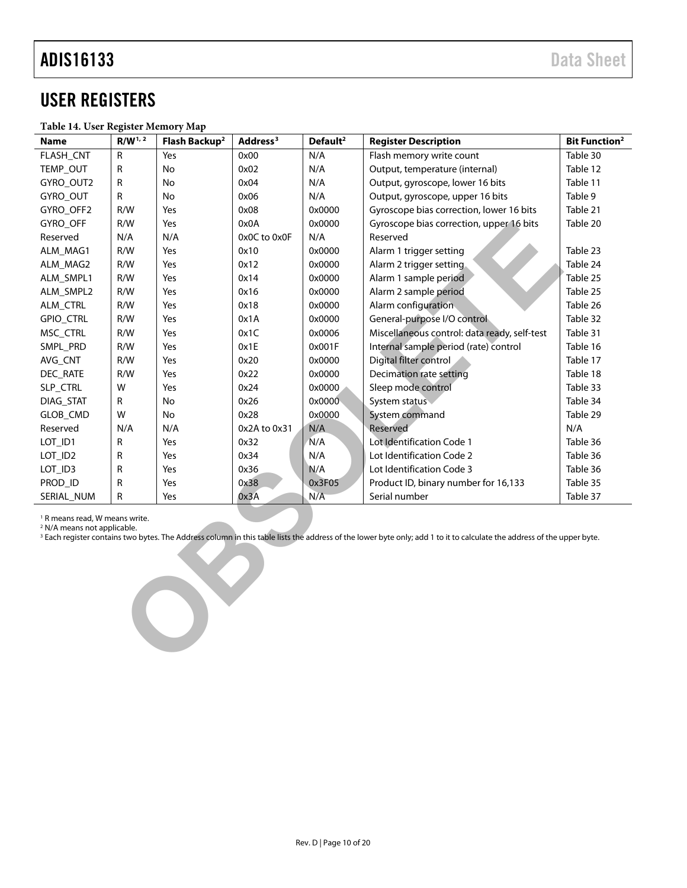### <span id="page-9-0"></span>USER REGISTERS

### <span id="page-9-1"></span>**Table 14. User Register Memory Map**

| <b>Name</b>                                                                                                                                                                                                                                                              | $R/W^{1, 2}$ | Flash Backup <sup>2</sup> | Address <sup>3</sup> | Default <sup>2</sup> | <b>Register Description</b>                  | <b>Bit Function<sup>2</sup></b> |
|--------------------------------------------------------------------------------------------------------------------------------------------------------------------------------------------------------------------------------------------------------------------------|--------------|---------------------------|----------------------|----------------------|----------------------------------------------|---------------------------------|
| FLASH_CNT                                                                                                                                                                                                                                                                | R            | Yes                       | 0x00                 | N/A                  | Flash memory write count                     | Table 30                        |
| TEMP_OUT                                                                                                                                                                                                                                                                 | R            | No                        | 0x02                 | N/A                  | Output, temperature (internal)               | Table 12                        |
| GYRO_OUT2                                                                                                                                                                                                                                                                | R            | No                        | 0x04                 | N/A                  | Output, gyroscope, lower 16 bits             | Table 11                        |
| GYRO_OUT                                                                                                                                                                                                                                                                 | R            | No                        | 0x06                 | N/A                  | Output, gyroscope, upper 16 bits             | Table 9                         |
| GYRO_OFF2                                                                                                                                                                                                                                                                | R/W          | Yes                       | 0x08                 | 0x0000               | Gyroscope bias correction, lower 16 bits     | Table 21                        |
| GYRO_OFF                                                                                                                                                                                                                                                                 | R/W          | Yes                       | 0x0A                 | 0x0000               | Gyroscope bias correction, upper 16 bits     | Table 20                        |
| Reserved                                                                                                                                                                                                                                                                 | N/A          | N/A                       | 0x0C to 0x0F         | N/A                  | Reserved                                     |                                 |
| ALM_MAG1                                                                                                                                                                                                                                                                 | R/W          | Yes                       | 0x10                 | 0x0000               | Alarm 1 trigger setting                      | Table 23                        |
| ALM_MAG2                                                                                                                                                                                                                                                                 | R/W          | Yes                       | 0x12                 | 0x0000               | Alarm 2 trigger setting.                     | Table 24                        |
| ALM_SMPL1                                                                                                                                                                                                                                                                | R/W          | Yes                       | 0x14                 | 0x0000               | Alarm 1 sample period                        | Table 25                        |
| ALM_SMPL2                                                                                                                                                                                                                                                                | R/W          | Yes                       | 0x16                 | 0x0000               | Alarm 2 sample period                        | Table 25                        |
| ALM_CTRL                                                                                                                                                                                                                                                                 | R/W          | Yes                       | 0x18                 | 0x0000               | Alarm configuration                          | Table 26                        |
| GPIO_CTRL                                                                                                                                                                                                                                                                | R/W          | Yes                       | 0x1A                 | 0x0000               | General-purpose I/O control                  | Table 32                        |
| MSC_CTRL                                                                                                                                                                                                                                                                 | R/W          | Yes                       | 0x1C                 | 0x0006               | Miscellaneous control: data ready, self-test | Table 31                        |
| SMPL_PRD                                                                                                                                                                                                                                                                 | R/W          | Yes                       | 0x1E                 | 0x001F               | Internal sample period (rate) control        | Table 16                        |
| AVG_CNT                                                                                                                                                                                                                                                                  | R/W          | Yes                       | 0x20                 | 0x0000               | Digital filter control                       | Table 17                        |
| DEC_RATE                                                                                                                                                                                                                                                                 | R/W          | Yes                       | 0x22                 | 0x0000               | <b>Decimation rate setting</b>               | Table 18                        |
| SLP_CTRL                                                                                                                                                                                                                                                                 | W            | Yes                       | 0x24                 | 0x0000               | Sleep mode control                           | Table 33                        |
| DIAG_STAT                                                                                                                                                                                                                                                                | R            | No                        | 0x26                 | 0x0000               | System status                                | Table 34                        |
| GLOB_CMD                                                                                                                                                                                                                                                                 | W            | No                        | 0x28                 | 0x0000               | System command                               | Table 29                        |
| Reserved                                                                                                                                                                                                                                                                 | N/A          | N/A                       | 0x2A to 0x31         | N/A                  | Reserved                                     | N/A                             |
| LOT_ID1                                                                                                                                                                                                                                                                  | R            | Yes                       | 0x32                 | N/A                  | Lot Identification Code 1                    | Table 36                        |
| LOT_ID2                                                                                                                                                                                                                                                                  | R            | Yes                       | 0x34                 | N/A                  | Lot Identification Code 2                    | Table 36                        |
| LOT_ID3                                                                                                                                                                                                                                                                  | R            | Yes                       | 0x36                 | N/A                  | Lot Identification Code 3                    | Table 36                        |
| PROD_ID                                                                                                                                                                                                                                                                  | R            | Yes                       | 0x38                 | 0x3F05               | Product ID, binary number for 16,133         | Table 35                        |
| SERIAL_NUM                                                                                                                                                                                                                                                               | R            | Yes                       | 0x3A                 | N/A                  | Serial number                                | Table 37                        |
| <sup>1</sup> R means read, W means write.<br><sup>2</sup> N/A means not applicable.<br><sup>3</sup> Each register contains two bytes. The Address column in this table lists the address of the lower byte only; add 1 to it to calculate the address of the upper byte. |              |                           |                      |                      |                                              |                                 |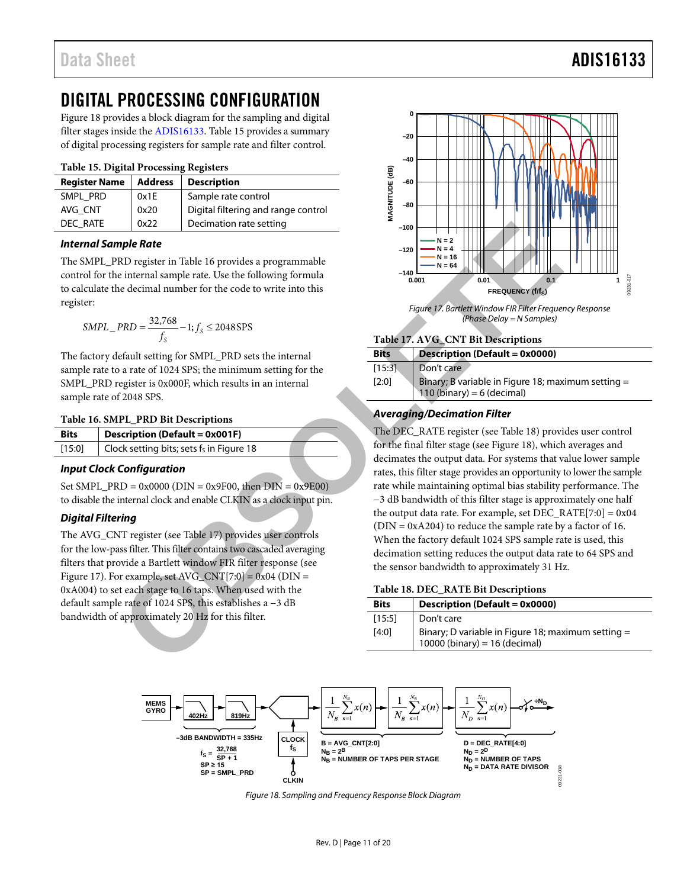### <span id="page-10-0"></span>DIGITAL PROCESSING CONFIGURATION

[Figure 18](#page-10-1) provides a block diagram for the sampling and digital filter stages inside the [ADIS16133.](http://www.analog.com/ADIS16133?doc=ADIS16133.pdf) [Table 15](#page-10-5) provides a summary of digital processing registers for sample rate and filter control.

### <span id="page-10-5"></span>**Table 15. Digital Processing Registers**

| <b>Register Name</b> | <b>Address</b> | <b>Description</b>                  |
|----------------------|----------------|-------------------------------------|
| SMPL PRD             | 0x1E           | Sample rate control                 |
| AVG CNT              | 0x20           | Digital filtering and range control |
| DEC RATE             | 0x22           | Decimation rate setting             |

### *Internal Sample Rate*

The SMPL\_PRD register in Table 16 provides a programmable control for the internal sample rate. Use the following formula to calculate the decimal number for the code to write into this register:

$$
SMPL\_PRD = \frac{32,768}{f_S} - 1; f_S \le 2048 \text{SPS}
$$

The factory default setting for SMPL\_PRD sets the internal sample rate to a rate of 1024 SPS; the minimum setting for the SMPL\_PRD register is 0x000F, which results in an internal sample rate of 2048 SPS.

#### <span id="page-10-3"></span>**Table 16. SMPL\_PRD Bit Descriptions**

| <b>Bits</b> | <b>Description (Default = 0x001F)</b>    |  |
|-------------|------------------------------------------|--|
| $[15:0]$    | Clock setting bits; sets fs in Figure 18 |  |

### *Input Clock Configuration*

Set SMPL\_PRD =  $0x0000$  (DIN =  $0x9F00$ , then DIN =  $0x9E00$ ) to disable the internal clock and enable CLKIN as a clock input pin.

### *Digital Filtering*

The AVG\_CNT register (see Table 17) provides user controls for the low-pass filter. This filter contains two cascaded averaging filters that provide a Bartlett window FIR filter response (see [Figure 17\)](#page-10-6). For example, set  $AVG_CNT[7:0] = 0x04$  (DIN = 0xA004) to set each stage to 16 taps. When used with the default sample rate of 1024 SPS, this establishes a −3 dB bandwidth of approximately 20 Hz for this filter.



*Figure 17. Bartlett Window FIR Filter Frequency Response (Phase Delay = N Samples)*

### <span id="page-10-6"></span><span id="page-10-4"></span>**Table 17. AVG\_CNT Bit Descriptions**

| <b>Bits</b>     | <b>Description (Default = 0x0000)</b>                                                              |
|-----------------|----------------------------------------------------------------------------------------------------|
| [15:3]<br>[2:0] | Don't care<br>Binary; B variable in Figure 18; maximum setting $=$<br>110 (binary) = $6$ (decimal) |

### *Averaging/Decimation Filter*

The DEC\_RATE register (see Table 18) provides user control for the final filter stage (see Figure 18), which averages and decimates the output data. For systems that value lower sample rates, this filter stage provides an opportunity to lower the sample rate while maintaining optimal bias stability performance. The −3 dB bandwidth of this filter stage is approximately one half the output data rate. For example, set  $DEC\_RATE[7:0] = 0x04$  $(DIN = 0xA204)$  to reduce the sample rate by a factor of 16. When the factory default 1024 SPS sample rate is used, this decimation setting reduces the output data rate to 64 SPS and the sensor bandwidth to approximately 31 Hz.  $\begin{tabular}{|c|c|c|c|c|} \hline 0x22 & Decmation rate setting & $-400\\[2mm] \hline 1000 & $10^{-12}$ & $-100\\[2mm] \hline 200 & $-10^{-12}$ & $-10^{-12}$ & $-10^{-12}$ & $-10^{-12}$ & $-10^{-12}$ & $-10^{-12}$ & $-10^{-12}$ & $-10^{-12}$ & $-10^{-12}$ & $-10^{-12}$ & $-10^{-12}$ & $-10^{-12}$ & $-10^{-12}$ & $-10^{-12}$ & $-10^{-12}$ & $-10^{-12$ 

### <span id="page-10-2"></span>**Table 18. DEC\_RATE Bit Descriptions**

| <b>Bits</b> | Description (Default = 0x0000)                                                        |
|-------------|---------------------------------------------------------------------------------------|
| [15:5]      | Don't care                                                                            |
| [4:0]       | Binary; D variable in Figure 18; maximum setting =<br>$10000$ (binary) = 16 (decimal) |

<span id="page-10-1"></span>

*Figure 18. Sampling and Frequency Response Block Diagram*

### Data Sheet **ADIS16133**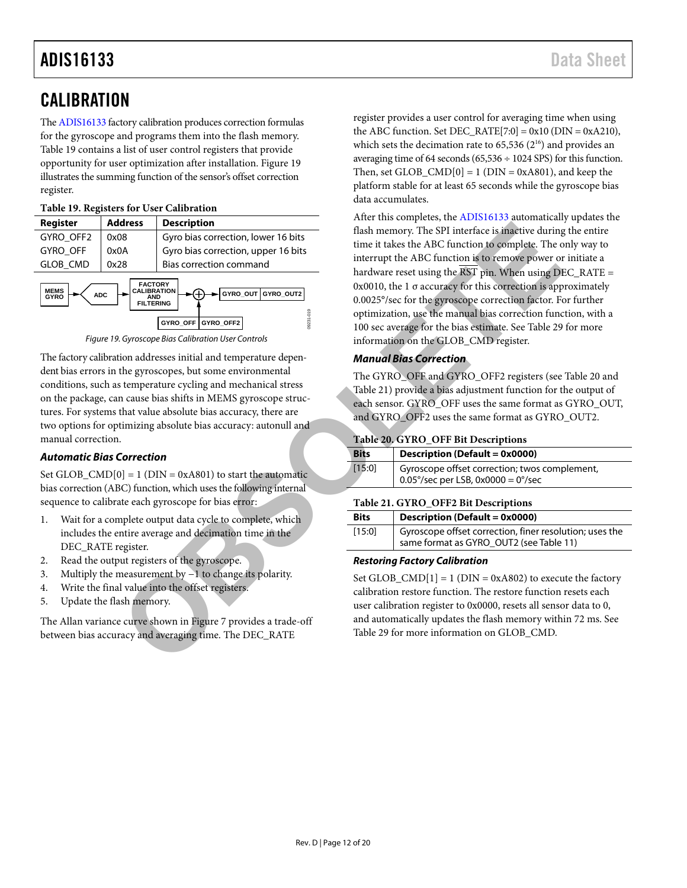### <span id="page-11-0"></span>**CALIBRATION**

Th[e ADIS16133](http://www.analog.com/ADIS16133?doc=ADIS16133.pdf) factory calibration produces correction formulas for the gyroscope and programs them into the flash memory. [Table 19](#page-11-3) contains a list of user control registers that provide opportunity for user optimization after installation. [Figure 19](#page-11-4) illustrates the summing function of the sensor's offset correction register.

### <span id="page-11-3"></span>**Table 19. Registers for User Calibration**

| Register                                                                                                                                                                                    | <b>Address</b>                              | <b>Description</b>                  |  |  |
|---------------------------------------------------------------------------------------------------------------------------------------------------------------------------------------------|---------------------------------------------|-------------------------------------|--|--|
| GYRO OFF2                                                                                                                                                                                   | Gyro bias correction, lower 16 bits<br>0x08 |                                     |  |  |
| <b>GYRO OFF</b>                                                                                                                                                                             | 0x0A                                        | Gyro bias correction, upper 16 bits |  |  |
| <b>GLOB CMD</b>                                                                                                                                                                             | 0x28                                        | Bias correction command             |  |  |
| <b>FACTORY</b><br><b>CALIBRATION</b><br><b>MEMS</b><br>GYRO OUT GYRO OUT2<br><b>ADC</b><br>GYRO<br><b>AND</b><br><b>FILTERING</b><br>$\frac{6}{2}$<br>09231<br>GYRO OFF2<br><b>GYRO OFF</b> |                                             |                                     |  |  |



<span id="page-11-4"></span>The factory calibration addresses initial and temperature dependent bias errors in the gyroscopes, but some environmental conditions, such as temperature cycling and mechanical stress on the package, can cause bias shifts in MEMS gyroscope structures. For systems that value absolute bias accuracy, there are two options for optimizing absolute bias accuracy: autonull and manual correction.

### *Automatic Bias Correction*

Set GLOB\_CMD $[0] = 1$  (DIN = 0xA801) to start the automatic bias correction (ABC) function, which uses the following internal sequence to calibrate each gyroscope for bias error:

- 1. Wait for a complete output data cycle to complete, which includes the entire average and decimation time in the DEC\_RATE register.
- 2. Read the output registers of the gyroscope.
- 3. Multiply the measurement by −1 to change its polarity.
- 4. Write the final value into the offset registers.
- 5. Update the flash memory.

The Allan variance curve shown in Figure 7 provides a trade-off between bias accuracy and averaging time. The DEC\_RATE

register provides a user control for averaging time when using the ABC function. Set DEC\_RATE[7:0] =  $0x10$  (DIN =  $0xA210$ ), which sets the decimation rate to  $65,536$   $(2^{16})$  and provides an averaging time of 64 seconds ( $65,536 \div 1024$  SPS) for this function. Then, set GLOB\_CMD $[0] = 1$  (DIN = 0xA801), and keep the platform stable for at least 65 seconds while the gyroscope bias data accumulates.

After this completes, th[e ADIS16133](http://www.analog.com/ADIS16133?doc=ADIS16133.pdf) automatically updates the flash memory. The SPI interface is inactive during the entire time it takes the ABC function to complete. The only way to interrupt the ABC function is to remove power or initiate a hardware reset using the  $\overline{\text{RST}}$  pin. When using  $\text{DEC\_RATE} =$ 0x0010, the  $1 \sigma$  accuracy for this correction is approximately 0.0025°/sec for the gyroscope correction factor. For further optimization, use the manual bias correction function, with a 100 sec average for the bias estimate. See Table 29 for more information on the GLOB\_CMD register. **C** (Synchom (Synchom and Experimental Containing about the same of the same of the same of the same of the same of the same of the same of the same of the same of the same of the same of the same of the same of the same o

### *Manual Bias Correction*

The GYRO\_OFF and GYRO\_OFF2 registers (see [Table 20](#page-11-2) and Table 21) provide a bias adjustment function for the output of each sensor. GYRO\_OFF uses the same format as GYRO\_OUT, and GYRO\_OFF2 uses the same format as GYRO\_OUT2.

### <span id="page-11-2"></span>**Table 20. GYRO\_OFF Bit Descriptions**

| <b>Bits</b> | <b>Description (Default = 0x0000)</b>                                                        |
|-------------|----------------------------------------------------------------------------------------------|
| [15:0]      | Gyroscope offset correction; twos complement,<br>$0.05^{\circ}/sec$ per LSB, 0x0000 = 0°/sec |

### <span id="page-11-1"></span>**Table 21. GYRO\_OFF2 Bit Descriptions**

| <b>Bits</b> | <b>Description (Default = 0x0000)</b>                                                              |  |
|-------------|----------------------------------------------------------------------------------------------------|--|
| [15:0]      | Gyroscope offset correction, finer resolution; uses the<br>same format as GYRO_OUT2 (see Table 11) |  |

### *Restoring Factory Calibration*

Set GLOB\_CMD $[1] = 1$  (DIN = 0xA802) to execute the factory calibration restore function. The restore function resets each user calibration register to 0x0000, resets all sensor data to 0, and automatically updates the flash memory within 72 ms. See Table 29 for more information on GLOB\_CMD.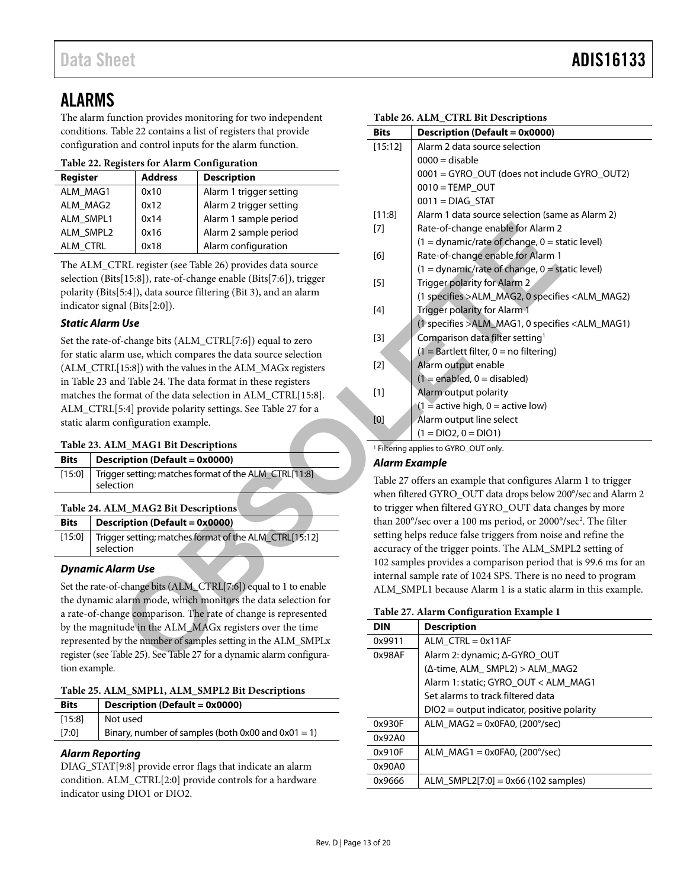### <span id="page-12-0"></span>ALARMS

The alarm function provides monitoring for two independent conditions[. Table 22](#page-12-5) contains a list of registers that provide configuration and control inputs for the alarm function.

<span id="page-12-5"></span>

| Register  | <b>Address</b> | <b>Description</b>      |
|-----------|----------------|-------------------------|
| ALM MAG1  | 0x10           | Alarm 1 trigger setting |
| ALM MAG2  | 0x12           | Alarm 2 trigger setting |
| ALM SMPL1 | 0x14           | Alarm 1 sample period   |
| ALM SMPL2 | 0x16           | Alarm 2 sample period   |
| ALM CTRL  | 0x18           | Alarm configuration     |

The ALM\_CTRL register (see Table 26) provides data source selection (Bits[15:8]), rate-of-change enable (Bits[7:6]), trigger polarity (Bits[5:4]), data source filtering (Bit 3), and an alarm indicator signal (Bits[2:0]).

### *Static Alarm Use*

Set the rate-of-change bits (ALM\_CTRL[7:6]) equal to zero for static alarm use, which compares the data source selection (ALM\_CTRL[15:8]) with the values in the ALM\_MAGx registers in [Table 23](#page-12-1) and Table 24. The data format in these registers matches the format of the data selection in ALM\_CTRL[15:8]. ALM\_CTRL[5:4] provide polarity settings. See Table 27 for a static alarm configuration example.

### <span id="page-12-1"></span>**Table 23. ALM\_MAG1 Bit Descriptions**

| <b>Bits</b> | $\vert$ Description (Default = 0x0000)                       |
|-------------|--------------------------------------------------------------|
|             | [15:0] Trigger setting; matches format of the ALM CTRL[11:8] |
|             | selection                                                    |

### <span id="page-12-2"></span>**Table 24. ALM\_MAG2 Bit Descriptions**

| [15:0]   Trigger setting; matches format of the ALM_CTRL[15:12] | <b>Bits</b> | $\vert$ Description (Default = 0x0000) |
|-----------------------------------------------------------------|-------------|----------------------------------------|
|                                                                 |             | selection                              |

### *Dynamic Alarm Use*

Set the rate-of-change bits (ALM\_CTRL[7:6]) equal to 1 to enable the dynamic alarm mode, which monitors the data selection for a rate-of-change comparison. The rate of change is represented by the magnitude in the ALM\_MAGx registers over the time represented by the number of samples setting in the ALM\_SMPLx register (see Table 25). See Table 27 for a dynamic alarm configuration example.

<span id="page-12-3"></span>

| Table 25. ALM_SMPL1, ALM_SMPL2 Bit Descriptions |  |  |
|-------------------------------------------------|--|--|
|                                                 |  |  |

| <b>Bits</b> | Description (Default = 0x0000)                          |
|-------------|---------------------------------------------------------|
| [15:8]      | Not used                                                |
| [7:0]       | Binary, number of samples (both $0x00$ and $0x01 = 1$ ) |
|             |                                                         |

### *Alarm Reporting*

DIAG\_STAT[9:8] provide error flags that indicate an alarm condition. ALM\_CTRL[2:0] provide controls for a hardware indicator using DIO1 or DIO2.

<span id="page-12-4"></span>

| nction provides monitoring for two independent    |                            |                                                       | Table 26. ALM_CTRL Bit Descriptions                                                                                                                                                                                                                                                                                                                                                                                                                                                                                                                                                                                                                                                                                                                                                                                                            |                                                                     |  |  |
|---------------------------------------------------|----------------------------|-------------------------------------------------------|------------------------------------------------------------------------------------------------------------------------------------------------------------------------------------------------------------------------------------------------------------------------------------------------------------------------------------------------------------------------------------------------------------------------------------------------------------------------------------------------------------------------------------------------------------------------------------------------------------------------------------------------------------------------------------------------------------------------------------------------------------------------------------------------------------------------------------------------|---------------------------------------------------------------------|--|--|
| able 22 contains a list of registers that provide |                            | <b>Bits</b>                                           | <b>Description (Default = 0x0000)</b>                                                                                                                                                                                                                                                                                                                                                                                                                                                                                                                                                                                                                                                                                                                                                                                                          |                                                                     |  |  |
| and control inputs for the alarm function.        |                            | [15:12]                                               | Alarm 2 data source selection                                                                                                                                                                                                                                                                                                                                                                                                                                                                                                                                                                                                                                                                                                                                                                                                                  |                                                                     |  |  |
| gisters for Alarm Configuration                   |                            |                                                       | $0000 =$ disable                                                                                                                                                                                                                                                                                                                                                                                                                                                                                                                                                                                                                                                                                                                                                                                                                               |                                                                     |  |  |
|                                                   | <b>Address</b>             | <b>Description</b>                                    |                                                                                                                                                                                                                                                                                                                                                                                                                                                                                                                                                                                                                                                                                                                                                                                                                                                | 0001 = GYRO_OUT (does not include GYRO_OUT2)                        |  |  |
|                                                   | 0x10                       | Alarm 1 trigger setting                               |                                                                                                                                                                                                                                                                                                                                                                                                                                                                                                                                                                                                                                                                                                                                                                                                                                                | $0010 = TEMP$ OUT                                                   |  |  |
|                                                   | 0x12                       | Alarm 2 trigger setting                               |                                                                                                                                                                                                                                                                                                                                                                                                                                                                                                                                                                                                                                                                                                                                                                                                                                                | $0011 = DIAG$ STAT                                                  |  |  |
|                                                   | 0x14                       | Alarm 1 sample period                                 | [11:8]                                                                                                                                                                                                                                                                                                                                                                                                                                                                                                                                                                                                                                                                                                                                                                                                                                         | Alarm 1 data source selection (same as Alarm 2)                     |  |  |
|                                                   | 0x16                       | Alarm 2 sample period                                 | $[7]$                                                                                                                                                                                                                                                                                                                                                                                                                                                                                                                                                                                                                                                                                                                                                                                                                                          | Rate-of-change enable for Alarm 2                                   |  |  |
|                                                   | 0x18                       | Alarm configuration                                   |                                                                                                                                                                                                                                                                                                                                                                                                                                                                                                                                                                                                                                                                                                                                                                                                                                                | $(1 =$ dynamic/rate of change, $0 =$ static level)                  |  |  |
|                                                   |                            | TRL register (see Table 26) provides data source      | [6]                                                                                                                                                                                                                                                                                                                                                                                                                                                                                                                                                                                                                                                                                                                                                                                                                                            | Rate-of-change enable for Alarm 1                                   |  |  |
|                                                   |                            | s[15:8]), rate-of-change enable (Bits[7:6]), trigger  |                                                                                                                                                                                                                                                                                                                                                                                                                                                                                                                                                                                                                                                                                                                                                                                                                                                | $(1 =$ dynamic/rate of change, $0 =$ static level)                  |  |  |
|                                                   |                            | [5:4]), data source filtering (Bit 3), and an alarm   | $[5]$                                                                                                                                                                                                                                                                                                                                                                                                                                                                                                                                                                                                                                                                                                                                                                                                                                          | Trigger polarity for Alarm 2                                        |  |  |
|                                                   | al $(Bits[2:0])$ .         |                                                       |                                                                                                                                                                                                                                                                                                                                                                                                                                                                                                                                                                                                                                                                                                                                                                                                                                                | (1 specifies >ALM_MAG2, 0 specifies <alm_mag2)< td=""></alm_mag2)<> |  |  |
|                                                   |                            |                                                       | $[4] % \begin{center} \includegraphics[width=\linewidth]{imagesSupplemental/Imh} \end{center} % \vspace*{-1em} \caption{The image shows the number of parameters of the parameter $\mathcal{M}_1$ and the number of parameters of the parameter $\mathcal{M}_1$ and the number of parameters of the parameter $\mathcal{M}_2$ and the number of parameters of the parameter $\mathcal{M}_1$ and the number of parameters of the parameter $\mathcal{M}_2$ and the number of parameters of the parameter $\mathcal{M}_1$ and the number of parameters of the parameter $\mathcal{M}_1$ and the number of parameters of the parameter $\mathcal{M}_2$ and the number of parameters of the parameter $\mathcal{M}_1$ and the number of parameters of the parameter $\mathcal{M}_1$ and the number of parameters of the parameter $\mathcal{M}_2$$ | Trigger polarity for Alarm 1                                        |  |  |
| ı Use                                             |                            |                                                       |                                                                                                                                                                                                                                                                                                                                                                                                                                                                                                                                                                                                                                                                                                                                                                                                                                                | (1 specifies >ALM_MAG1, 0 specifies <alm_mag1)< td=""></alm_mag1)<> |  |  |
|                                                   |                            | f-change bits (ALM_CTRL[7:6]) equal to zero           | $[3]$                                                                                                                                                                                                                                                                                                                                                                                                                                                                                                                                                                                                                                                                                                                                                                                                                                          | Comparison data filter setting <sup>1</sup>                         |  |  |
| m use, which compares the data source selection   |                            |                                                       |                                                                                                                                                                                                                                                                                                                                                                                                                                                                                                                                                                                                                                                                                                                                                                                                                                                | $(1 =$ Bartlett filter, 0 = no filtering)                           |  |  |
| [15:8]) with the values in the ALM_MAGx registers |                            |                                                       | $[2]$                                                                                                                                                                                                                                                                                                                                                                                                                                                                                                                                                                                                                                                                                                                                                                                                                                          | Alarm output enable                                                 |  |  |
|                                                   |                            | d Table 24. The data format in these registers        |                                                                                                                                                                                                                                                                                                                                                                                                                                                                                                                                                                                                                                                                                                                                                                                                                                                | $(1 = enabled, 0 = disabled)$                                       |  |  |
|                                                   |                            | ormat of the data selection in ALM_CTRL[15:8].        | $[1]$                                                                                                                                                                                                                                                                                                                                                                                                                                                                                                                                                                                                                                                                                                                                                                                                                                          | Alarm output polarity                                               |  |  |
|                                                   |                            | 5:4] provide polarity settings. See Table 27 for a    |                                                                                                                                                                                                                                                                                                                                                                                                                                                                                                                                                                                                                                                                                                                                                                                                                                                | $(1 =$ active high, $0 =$ active low)                               |  |  |
|                                                   | onfiguration example.      |                                                       | [0]                                                                                                                                                                                                                                                                                                                                                                                                                                                                                                                                                                                                                                                                                                                                                                                                                                            | Alarm output line select                                            |  |  |
| <b>M_MAG1 Bit Descriptions</b>                    |                            |                                                       | $(1 = DIO2, 0 = DIO1)$                                                                                                                                                                                                                                                                                                                                                                                                                                                                                                                                                                                                                                                                                                                                                                                                                         |                                                                     |  |  |
|                                                   | ription (Default = 0x0000) |                                                       |                                                                                                                                                                                                                                                                                                                                                                                                                                                                                                                                                                                                                                                                                                                                                                                                                                                | <sup>1</sup> Filtering applies to GYRO_OUT only.                    |  |  |
|                                                   |                            | er setting; matches format of the ALM_CTRL[11:8]      | <b>Alarm Example</b>                                                                                                                                                                                                                                                                                                                                                                                                                                                                                                                                                                                                                                                                                                                                                                                                                           |                                                                     |  |  |
| tion                                              |                            |                                                       | Table 27 offers an example that configures Alarm 1 to trigger                                                                                                                                                                                                                                                                                                                                                                                                                                                                                                                                                                                                                                                                                                                                                                                  |                                                                     |  |  |
|                                                   |                            |                                                       |                                                                                                                                                                                                                                                                                                                                                                                                                                                                                                                                                                                                                                                                                                                                                                                                                                                | when filtered GYRO_OUT data drops below 200°/sec and Alarm 2        |  |  |
| <b>M_MAG2 Bit Descriptions</b>                    |                            |                                                       | to trigger when filtered GYRO_OUT data changes by more                                                                                                                                                                                                                                                                                                                                                                                                                                                                                                                                                                                                                                                                                                                                                                                         |                                                                     |  |  |
| ription (Default = 0x0000)                        |                            |                                                       | than 200°/sec over a 100 ms period, or 2000°/sec <sup>2</sup> . The filter                                                                                                                                                                                                                                                                                                                                                                                                                                                                                                                                                                                                                                                                                                                                                                     |                                                                     |  |  |
| er setting; matches format of the ALM_CTRL[15:12] |                            |                                                       | setting helps reduce false triggers from noise and refine the                                                                                                                                                                                                                                                                                                                                                                                                                                                                                                                                                                                                                                                                                                                                                                                  |                                                                     |  |  |
| tion                                              |                            |                                                       | accuracy of the trigger points. The ALM_SMPL2 setting of                                                                                                                                                                                                                                                                                                                                                                                                                                                                                                                                                                                                                                                                                                                                                                                       |                                                                     |  |  |
| arm Use                                           |                            |                                                       | 102 samples provides a comparison period that is 99.6 ms for an                                                                                                                                                                                                                                                                                                                                                                                                                                                                                                                                                                                                                                                                                                                                                                                |                                                                     |  |  |
| -change bits (ALM_CTRL[7:6]) equal to 1 to enable |                            |                                                       | internal sample rate of 1024 SPS. There is no need to program                                                                                                                                                                                                                                                                                                                                                                                                                                                                                                                                                                                                                                                                                                                                                                                  |                                                                     |  |  |
| alarm mode, which monitors the data selection for |                            |                                                       |                                                                                                                                                                                                                                                                                                                                                                                                                                                                                                                                                                                                                                                                                                                                                                                                                                                | ALM_SMPL1 because Alarm 1 is a static alarm in this example.        |  |  |
| age comparison. The rate of change is represented |                            |                                                       |                                                                                                                                                                                                                                                                                                                                                                                                                                                                                                                                                                                                                                                                                                                                                                                                                                                | Table 27. Alarm Configuration Example 1                             |  |  |
| ude in the ALM_MAGx registers over the time       |                            |                                                       | <b>DIN</b>                                                                                                                                                                                                                                                                                                                                                                                                                                                                                                                                                                                                                                                                                                                                                                                                                                     | <b>Description</b>                                                  |  |  |
| y the number of samples setting in the ALM_SMPLx  |                            |                                                       | 0x9911                                                                                                                                                                                                                                                                                                                                                                                                                                                                                                                                                                                                                                                                                                                                                                                                                                         | $ALM_CTRL = 0x11AF$                                                 |  |  |
|                                                   |                            | able 25). See Table 27 for a dynamic alarm configura- | 0x98AF                                                                                                                                                                                                                                                                                                                                                                                                                                                                                                                                                                                                                                                                                                                                                                                                                                         | Alarm 2: dynamic; Δ-GYRO_OUT                                        |  |  |
|                                                   |                            |                                                       |                                                                                                                                                                                                                                                                                                                                                                                                                                                                                                                                                                                                                                                                                                                                                                                                                                                |                                                                     |  |  |

### *Alarm Example*

<span id="page-12-6"></span>

| ີ                                             |
|-----------------------------------------------|
| <b>Description</b>                            |
| ALM $CTRL = 0x11AF$                           |
| Alarm 2: dynamic; ∆-GYRO OUT                  |
| (Δ-time, ALM_SMPL2) > ALM_MAG2                |
| Alarm 1: static; GYRO OUT < ALM MAG1          |
| Set alarms to track filtered data             |
| $DIO2 = output indicator$ , positive polarity |
| ALM $MAG2 = 0x0FA0$ , (200 $\degree$ /sec)    |
|                                               |
| ALM $MAG1 = 0x0FA0$ . (200 $\degree$ /sec)    |
|                                               |
| ALM SMPL2[7:0] = $0x66$ (102 samples)         |
|                                               |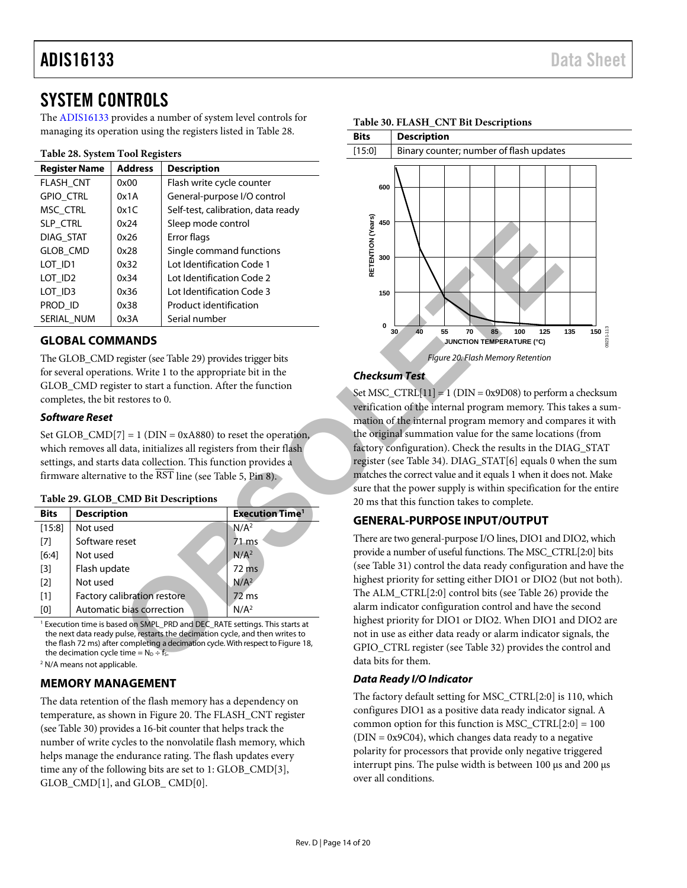### <span id="page-13-0"></span>SYSTEM CONTROLS

The [ADIS16133](http://www.analog.com/ADIS16133?doc=ADIS16133.pdf) provides a number of system level controls for managing its operation using the registers listed in [Table 28.](#page-13-6) 

### <span id="page-13-6"></span>**Table 28. System Tool Registers**

| <b>Register Name</b> | <b>Address</b> | <b>Description</b>                 |
|----------------------|----------------|------------------------------------|
| <b>FLASH CNT</b>     | 0x00           | Flash write cycle counter          |
| <b>GPIO CTRL</b>     | 0x1A           | General-purpose I/O control        |
| MSC CTRL             | 0x1C           | Self-test, calibration, data ready |
| SLP_CTRL             | 0x24           | Sleep mode control                 |
| DIAG_STAT            | 0x26           | Error flags                        |
| <b>GLOB CMD</b>      | 0x28           | Single command functions           |
| LOT ID1              | 0x32           | Lot Identification Code 1          |
| LOT ID <sub>2</sub>  | 0x34           | Lot Identification Code 2          |
| LOT ID3              | 0x36           | Lot Identification Code 3          |
| PROD ID              | 0x38           | Product identification             |
| SERIAL NUM           | 0x3A           | Serial number                      |

### <span id="page-13-1"></span>**GLOBAL COMMANDS**

The GLOB\_CMD register (see Table 29) provides trigger bits for several operations. Write 1 to the appropriate bit in the GLOB\_CMD register to start a function. After the function completes, the bit restores to 0.

### *Software Reset*

Set GLOB  $\text{CMD}[7] = 1$  (DIN = 0xA880) to reset the operation, which removes all data, initializes all registers from their flash settings, and starts data collection. This function provides a firmware alternative to the  $\overline{\text{RST}}$  line (see Table 5, Pin 8).

### <span id="page-13-5"></span>**Table 29. GLOB\_CMD Bit Descriptions**

| <b>Bits</b> | <b>Description</b>          | <b>Execution Time<sup>1</sup></b> |
|-------------|-----------------------------|-----------------------------------|
| [15:8]      | Not used                    | N/A <sup>2</sup>                  |
| [7]         | Software reset              | $71$ ms                           |
| [6:4]       | Not used                    | N/A <sup>2</sup>                  |
| $[3]$       | Flash update                | 72 ms                             |
| $[2]$       | Not used                    | N/A <sup>2</sup>                  |
| $[1]$       | Factory calibration restore | $72$ ms                           |
| [0]         | Automatic bias correction   | N/A <sup>2</sup>                  |

<sup>1</sup> Execution time is based on SMPL\_PRD and DEC\_RATE settings. This starts at the next data ready pulse, restarts the decimation cycle, and then writes to the flash 72 ms) after completing a decimation cycle. With respect to Figure 18, the decimation cycle time =  $N_D \div f_S$ 

<sup>2</sup> N/A means not applicable.

### <span id="page-13-2"></span>**MEMORY MANAGEMENT**

The data retention of the flash memory has a dependency on temperature, as shown i[n Figure 20.](#page-13-7) The FLASH\_CNT register (see [Table 30\)](#page-13-4) provides a 16-bit counter that helps track the number of write cycles to the nonvolatile flash memory, which helps manage the endurance rating. The flash updates every time any of the following bits are set to 1: GLOB\_CMD[3], GLOB\_CMD[1], and GLOB\_ CMD[0].



### <span id="page-13-4"></span>**Table 30. FLASH\_CNT Bit Descriptions**

### <span id="page-13-7"></span>*Checksum Test*

Set MSC\_CTRL[11] = 1 ( $DIN = 0x9D08$ ) to perform a checksum verification of the internal program memory. This takes a summation of the internal program memory and compares it with the original summation value for the same locations (from factory configuration). Check the results in the DIAG STAT register (see Table 34). DIAG\_STAT[6] equals 0 when the sum matches the correct value and it equals 1 when it does not. Make sure that the power supply is within specification for the entire 20 ms that this function takes to complete.

### <span id="page-13-3"></span>**GENERAL-PURPOSE INPUT/OUTPUT**

There are two general-purpose I/O lines, DIO1 and DIO2, which provide a number of useful functions. The MSC\_CTRL[2:0] bits (see Table 31) control the data ready configuration and have the highest priority for setting either DIO1 or DIO2 (but not both). The ALM\_CTRL[2:0] control bits (see Table 26) provide the alarm indicator configuration control and have the second highest priority for DIO1 or DIO2. When DIO1 and DIO2 are not in use as either data ready or alarm indicator signals, the GPIO\_CTRL register (see Table 32) provides the control and data bits for them.

### *Data Ready I/O Indicator*

The factory default setting for MSC\_CTRL[2:0] is 110, which configures DIO1 as a positive data ready indicator signal. A common option for this function is MSC\_CTRL $[2:0] = 100$  $(DIN = 0x9C04)$ , which changes data ready to a negative polarity for processors that provide only negative triggered interrupt pins. The pulse width is between 100 μs and 200 μs over all conditions.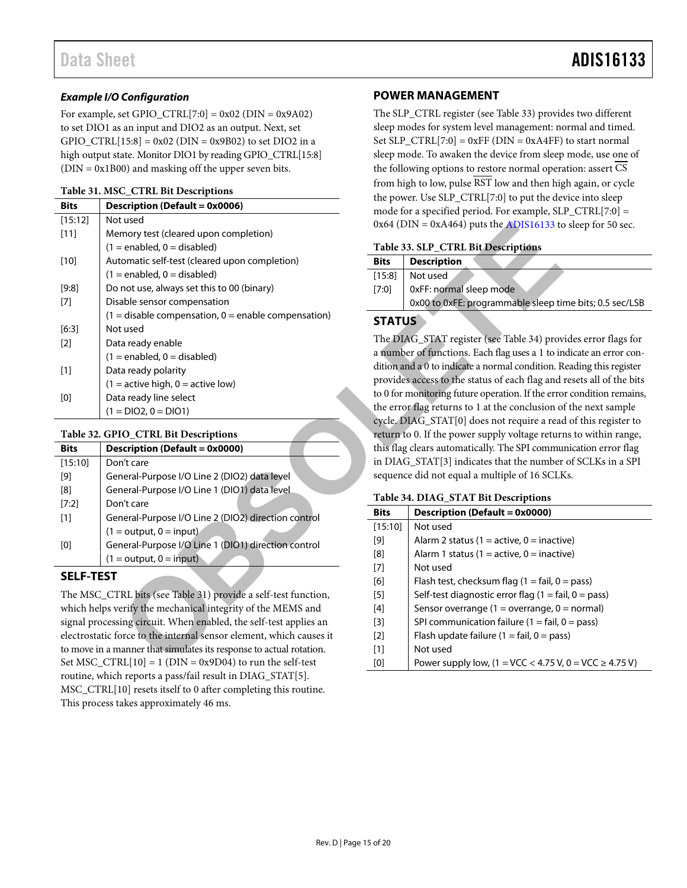### *Example I/O Configuration*

For example, set GPIO\_CTRL[7:0] =  $0x02$  (DIN =  $0x9A02$ ) to set DIO1 as an input and DIO2 as an output. Next, set GPIO\_CTRL $[15:8] = 0x02$  (DIN = 0x9B02) to set DIO2 in a high output state. Monitor DIO1 by reading GPIO\_CTRL[15:8]  $(DIN = 0x1B00)$  and masking off the upper seven bits.

#### <span id="page-14-4"></span>**Table 31. MSC\_CTRL Bit Descriptions**

|                                                                                                                                                                                                                                                                                                                                                                                                                                                                                                                                                                                                                                                                               |                                                                     |               | the power. Use SLP_CTRL[7:0] to put the de-                    |  |
|-------------------------------------------------------------------------------------------------------------------------------------------------------------------------------------------------------------------------------------------------------------------------------------------------------------------------------------------------------------------------------------------------------------------------------------------------------------------------------------------------------------------------------------------------------------------------------------------------------------------------------------------------------------------------------|---------------------------------------------------------------------|---------------|----------------------------------------------------------------|--|
| <b>Bits</b><br><b>Description (Default = 0x0006)</b>                                                                                                                                                                                                                                                                                                                                                                                                                                                                                                                                                                                                                          |                                                                     |               | mode for a specified period. For example, SL                   |  |
| [15:12]                                                                                                                                                                                                                                                                                                                                                                                                                                                                                                                                                                                                                                                                       | Not used                                                            |               | $0x64$ (DIN = $0xA464$ ) puts the ADIS16133 to                 |  |
| $[11]$                                                                                                                                                                                                                                                                                                                                                                                                                                                                                                                                                                                                                                                                        | Memory test (cleared upon completion)                               |               |                                                                |  |
|                                                                                                                                                                                                                                                                                                                                                                                                                                                                                                                                                                                                                                                                               | $(1 = enabled, 0 = disabled)$                                       |               | Table 33. SLP_CTRL Bit Descriptions                            |  |
| $[10]$                                                                                                                                                                                                                                                                                                                                                                                                                                                                                                                                                                                                                                                                        | Automatic self-test (cleared upon completion)                       | <b>Bits</b>   | <b>Description</b>                                             |  |
|                                                                                                                                                                                                                                                                                                                                                                                                                                                                                                                                                                                                                                                                               | $(1 =$ enabled, $0 =$ disabled)                                     | [15:8]        | Not used                                                       |  |
| [9:8]                                                                                                                                                                                                                                                                                                                                                                                                                                                                                                                                                                                                                                                                         | Do not use, always set this to 00 (binary)                          | [7:0]         | 0xFF: normal sleep mode                                        |  |
| $[7]$                                                                                                                                                                                                                                                                                                                                                                                                                                                                                                                                                                                                                                                                         | Disable sensor compensation                                         |               | 0x00 to 0xFE: programmable sleep tir                           |  |
|                                                                                                                                                                                                                                                                                                                                                                                                                                                                                                                                                                                                                                                                               | $(1 =$ disable compensation, $0 =$ enable compensation)             | <b>STATUS</b> |                                                                |  |
| $[6:3]$                                                                                                                                                                                                                                                                                                                                                                                                                                                                                                                                                                                                                                                                       | Not used                                                            |               |                                                                |  |
| $[2]$                                                                                                                                                                                                                                                                                                                                                                                                                                                                                                                                                                                                                                                                         | Data ready enable                                                   |               | The DIAG_STAT register (see Table 34) prov                     |  |
|                                                                                                                                                                                                                                                                                                                                                                                                                                                                                                                                                                                                                                                                               | $(1 =$ enabled, $0 =$ disabled)                                     |               | a number of functions. Each flag uses a 1 to in                |  |
| $[1]$                                                                                                                                                                                                                                                                                                                                                                                                                                                                                                                                                                                                                                                                         | Data ready polarity                                                 |               | dition and a 0 to indicate a normal condition. R               |  |
|                                                                                                                                                                                                                                                                                                                                                                                                                                                                                                                                                                                                                                                                               | $(1 =$ active high, $0 =$ active low)                               |               | provides access to the status of each flag and                 |  |
| $[0] % \begin{center} % \includegraphics[width=\linewidth]{imagesSupplemental_3.png} % \end{center} % \caption { % Our method can be used for the proposed method. % Note that the \emph{exponent} is used to be used for the \emph{exponent} and the \emph{exponent} is used for the \emph{exponent} and the \emph{exponent} is used for the \emph{exponent} and the \emph{exponent} is used for the \emph{exponent} and the \emph{exponent} is used for the \emph{exponent} and the \emph{exponent} is used for the \emph{exponent} and the \emph{exponent} is used for the \emph{exponent} and the \emph{exponent} is used for the \emph{exponent} and the \emph{exponent$ | Data ready line select                                              |               | to 0 for monitoring future operation. If the erro              |  |
|                                                                                                                                                                                                                                                                                                                                                                                                                                                                                                                                                                                                                                                                               | $(1 = DIO2, 0 = DIO1)$                                              |               | the error flag returns to 1 at the conclusion of               |  |
|                                                                                                                                                                                                                                                                                                                                                                                                                                                                                                                                                                                                                                                                               |                                                                     |               | cycle. DIAG_STAT[0] does not require a read                    |  |
|                                                                                                                                                                                                                                                                                                                                                                                                                                                                                                                                                                                                                                                                               | Table 32. GPIO_CTRL Bit Descriptions                                |               | return to 0. If the power supply voltage returi                |  |
| <b>Bits</b>                                                                                                                                                                                                                                                                                                                                                                                                                                                                                                                                                                                                                                                                   | <b>Description (Default = 0x0000)</b>                               |               | this flag clears automatically. The SPI commu                  |  |
| [15:10]                                                                                                                                                                                                                                                                                                                                                                                                                                                                                                                                                                                                                                                                       | Don't care                                                          |               | in DIAG_STAT[3] indicates that the number                      |  |
| $[9] % \begin{center} \includegraphics[width=\linewidth]{imagesSupplemental/Implemental.png} \end{center} % \vspace{-1em} \caption{The image shows the number of parameters of the estimators in the left and right.} \label{fig:limsub} %$                                                                                                                                                                                                                                                                                                                                                                                                                                   | General-Purpose I/O Line 2 (DIO2) data level                        |               | sequence did not equal a multiple of 16 SCLF                   |  |
| [8]                                                                                                                                                                                                                                                                                                                                                                                                                                                                                                                                                                                                                                                                           | General-Purpose I/O Line 1 (DIO1) data level                        |               |                                                                |  |
| [7:2]                                                                                                                                                                                                                                                                                                                                                                                                                                                                                                                                                                                                                                                                         | Don't care                                                          |               | Table 34. DIAG_STAT Bit Descriptions                           |  |
| $[1]$                                                                                                                                                                                                                                                                                                                                                                                                                                                                                                                                                                                                                                                                         | General-Purpose I/O Line 2 (DIO2) direction control                 | <b>Bits</b>   | <b>Description (Default = 0x0000)</b>                          |  |
|                                                                                                                                                                                                                                                                                                                                                                                                                                                                                                                                                                                                                                                                               | $(1 = output, 0 = input)$                                           | [15:10]       | Not used                                                       |  |
| $[0] % \begin{center} % \includegraphics[width=\linewidth]{imagesSupplemental_3.png} % \end{center} % \caption { % Our method can be used for the proposed method. % Note that the \emph{exponent} is used to be used for the \emph{exponent} and the \emph{exponent} is used for the \emph{exponent} and the \emph{exponent} is used for the \emph{exponent} and the \emph{exponent} is used for the \emph{exponent} and the \emph{exponent} is used for the \emph{exponent} and the \emph{exponent} is used for the \emph{exponent} and the \emph{exponent} is used for the \emph{exponent} and the \emph{exponent} is used for the \emph{exponent} and the \emph{exponent$ | General-Purpose I/O Line 1 (DIO1) direction control                 | $[9]$         | Alarm 2 status (1 = active, 0 = inactiv                        |  |
|                                                                                                                                                                                                                                                                                                                                                                                                                                                                                                                                                                                                                                                                               | $(1 = output, 0 = input)$                                           | [8]           | Alarm 1 status (1 = active, 0 = inactiv                        |  |
| <b>SELF-TEST</b>                                                                                                                                                                                                                                                                                                                                                                                                                                                                                                                                                                                                                                                              |                                                                     | $[7]$         | Not used                                                       |  |
|                                                                                                                                                                                                                                                                                                                                                                                                                                                                                                                                                                                                                                                                               |                                                                     | [6]           | Flash test, checksum flag $(1 = \text{fail}, 0 = \text{fail})$ |  |
|                                                                                                                                                                                                                                                                                                                                                                                                                                                                                                                                                                                                                                                                               | The MSC_CTRL bits (see Table 31) provide a self-test function,      | $[5]$         | Self-test diagnostic error flag (1 = fa                        |  |
|                                                                                                                                                                                                                                                                                                                                                                                                                                                                                                                                                                                                                                                                               | which helps verify the mechanical integrity of the MEMS and         | $[4]$         | Sensor overrange (1 = overrange, 0 $\overline{ }$              |  |
|                                                                                                                                                                                                                                                                                                                                                                                                                                                                                                                                                                                                                                                                               | signal processing circuit. When enabled, the self-test applies an   | $[3]$         | SPI communication failure ( $1 = \text{fail}$ , (              |  |
|                                                                                                                                                                                                                                                                                                                                                                                                                                                                                                                                                                                                                                                                               | electrostatic force to the internal sensor element, which causes it | $[2]$         | Flash update failure (1 = fail, 0 = pas                        |  |
|                                                                                                                                                                                                                                                                                                                                                                                                                                                                                                                                                                                                                                                                               | to move in a manner that simulates its response to actual rotation. | $[1]$         | Not used                                                       |  |
|                                                                                                                                                                                                                                                                                                                                                                                                                                                                                                                                                                                                                                                                               | Set MSC $CTRL[10] = 1$ (DIN = 0x9D04) to run the self-test          | [0]           | Power supply low. $(1 = \text{VCC} < 4.75 \text{ V})$ .        |  |

### <span id="page-14-3"></span>**Table 32. GPIO\_CTRL Bit Descriptions**

| <b>Bits</b> | Description (Default = 0x0000)                      |
|-------------|-----------------------------------------------------|
| [15:10]     | Don't care                                          |
| [9]         | General-Purpose I/O Line 2 (DIO2) data level        |
| [8]         | General-Purpose I/O Line 1 (DIO1) data level        |
| [7:2]       | Don't care                                          |
| $[1]$       | General-Purpose I/O Line 2 (DIO2) direction control |
|             | $(1 = output, 0 = input)$                           |
| [0]         | General-Purpose I/O Line 1 (DIO1) direction control |
|             | $(1 = output, 0 = input)$                           |

### <span id="page-14-0"></span>**SELF-TEST**

The MSC\_CTRL bits (see Table 31) provide a self-test function, which helps verify the mechanical integrity of the MEMS and signal processing circuit. When enabled, the self-test applies an electrostatic force to the internal sensor element, which causes it to move in a manner that simulates its response to actual rotation. Set MSC\_CTRL $[10] = 1$  (DIN = 0x9D04) to run the self-test routine, which reports a pass/fail result in DIAG\_STAT[5]. MSC\_CTRL[10] resets itself to 0 after completing this routine. This process takes approximately 46 ms.

### <span id="page-14-1"></span>**POWER MANAGEMENT**

The SLP\_CTRL register (se[e Table 33\)](#page-14-5) provides two different sleep modes for system level management: normal and timed. Set SLP\_CTRL[7:0] =  $0xFF$  (DIN =  $0xA4FF$ ) to start normal sleep mode. To awaken the device from sleep mode, use one of the following options to restore normal operation: assert CS from high to low, pulse RST low and then high again, or cycle the power. Use SLP\_CTRL[7:0] to put the device into sleep mode for a specified period. For example, SLP\_CTRL[7:0] =  $0x64$  (DIN =  $0xA464$ ) puts the ADIS16133 to sleep for 50 sec.

### <span id="page-14-5"></span>**Table 33. SLP\_CTRL Bit Descriptions**

| <b>Bits</b> | <b>Description</b>                                      |
|-------------|---------------------------------------------------------|
| [15:8]      | Not used                                                |
| [7:0]       | 0xFF: normal sleep mode                                 |
|             | 0x00 to 0xFE: programmable sleep time bits; 0.5 sec/LSB |

### <span id="page-14-2"></span>**STATUS**

The DIAG\_STAT register (see Table 34) provides error flags for a number of functions. Each flag uses a 1 to indicate an error condition and a 0 to indicate a normal condition. Reading this register provides access to the status of each flag and resets all of the bits to 0 for monitoring future operation. If the error condition remains, the error flag returns to 1 at the conclusion of the next sample cycle. DIAG\_STAT[0] does not require a read of this register to return to 0. If the power supply voltage returns to within range, this flag clears automatically. The SPI communication error flag in DIAG\_STAT[3] indicates that the number of SCLKs in a SPI sequence did not equal a multiple of 16 SCLKs.

### <span id="page-14-6"></span>**Table 34. DIAG\_STAT Bit Descriptions**

| <b>Bits</b>       | Description (Default = 0x0000)                                       |
|-------------------|----------------------------------------------------------------------|
| [15:10]           | Not used                                                             |
| [9]               | Alarm 2 status (1 = active, 0 = inactive)                            |
| [8]               | Alarm 1 status (1 = active, 0 = inactive)                            |
| [7]               | Not used                                                             |
| [6]               | Flash test, checksum flag $(1 = \text{fail}, 0 = \text{pass})$       |
| [5]               | Self-test diagnostic error flag $(1 = \text{fail}, 0 = \text{pass})$ |
| [4]               | Sensor overrange (1 = overrange, 0 = normal)                         |
| [3]               | SPI communication failure $(1 = \text{fail}, 0 = \text{pass})$       |
| $\lceil 2 \rceil$ | Flash update failure $(1 = \text{fail}, 0 = \text{pass})$            |
| [1]               | Not used                                                             |
| [0]               | Power supply low, (1 = VCC < 4.75 V, 0 = VCC ≥ 4.75 V)               |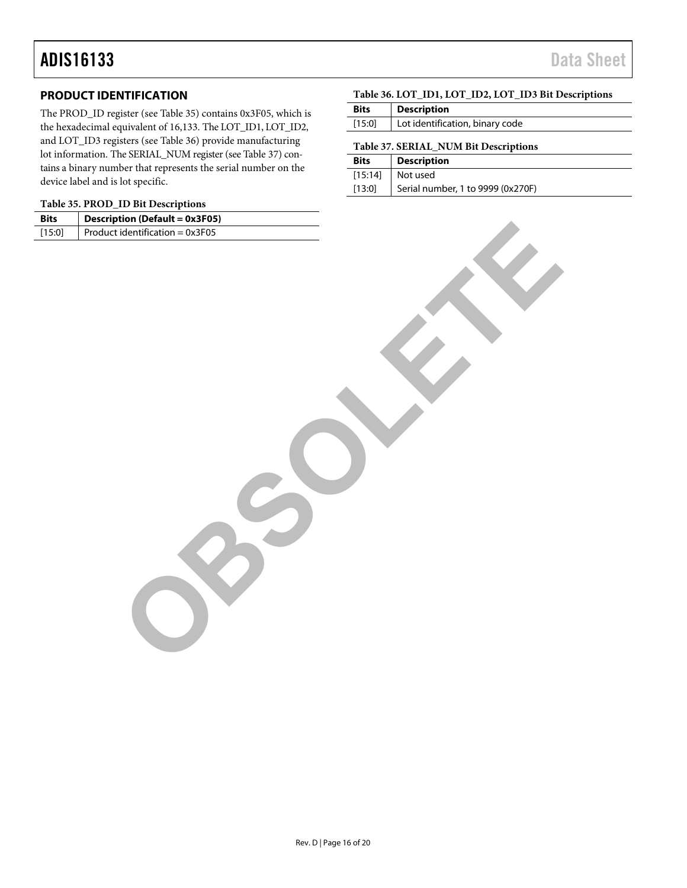### <span id="page-15-0"></span>**PRODUCT IDENTIFICATION**

The PROD\_ID register (see [Table 35\)](#page-15-2) contains 0x3F05, which is the hexadecimal equivalent of 16,133. The LOT\_ID1, LOT\_ID2, and LOT\_ID3 registers (see [Table 36\)](#page-15-1) provide manufacturing lot information. The SERIAL\_NUM register (se[e Table 37\)](#page-15-3) contains a binary number that represents the serial number on the device label and is lot specific.

### <span id="page-15-2"></span>**Table 35. PROD\_ID Bit Descriptions**

| <b>Bits</b> | <b>Description (Default = 0x3F05)</b> |  |
|-------------|---------------------------------------|--|
| [15:0]      | Product identification = $0x3F05$     |  |
|             |                                       |  |
|             |                                       |  |

### <span id="page-15-1"></span>**Table 36. LOT\_ID1, LOT\_ID2, LOT\_ID3 Bit Descriptions**

| <b>Bits</b>                           | <b>Description</b>              |  |
|---------------------------------------|---------------------------------|--|
| [15:0]                                | Lot identification, binary code |  |
| Table 37. SERIAL NUM Bit Descriptions |                                 |  |

<span id="page-15-3"></span>

| <b>Bits</b> | <b>Description</b>                |
|-------------|-----------------------------------|
|             | $[15:14]$ Not used                |
| [13:0]      | Serial number, 1 to 9999 (0x270F) |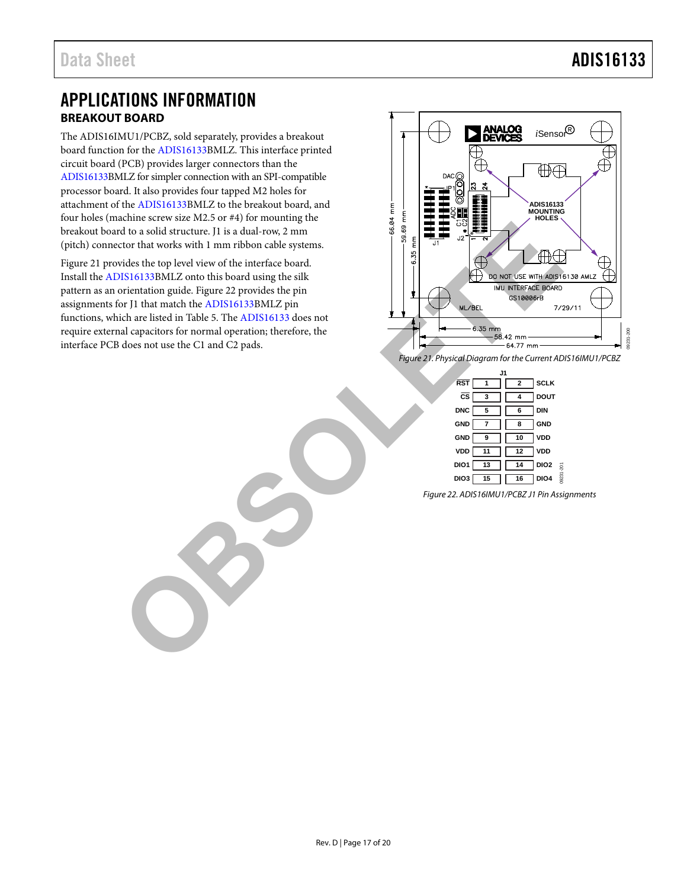### <span id="page-16-0"></span>APPLICATIONS INFORMATION **BREAKOUT BOARD**

<span id="page-16-1"></span>The ADIS16IMU1/PCBZ, sold separately, provides a breakout board function for th[e ADIS16133B](http://www.analog.com/ADIS16133?doc=ADIS16133.pdf)MLZ. This interface printed circuit board (PCB) provides larger connectors than the [ADIS16133B](http://www.analog.com/ADIS16133?doc=ADIS16133.pdf)MLZ for simpler connection with an SPI-compatible processor board. It also provides four tapped M2 holes for attachment of th[e ADIS16133B](http://www.analog.com/ADIS16133?doc=ADIS16133.pdf)MLZ to the breakout board, and four holes (machine screw size M2.5 or #4) for mounting the breakout board to a solid structure. J1 is a dual-row, 2 mm (pitch) connector that works with 1 mm ribbon cable systems.

[Figure 21](#page-16-2) provides the top level view of the interface board. Install the [ADIS16133B](http://www.analog.com/ADIS16133?doc=ADIS16133.pdf)MLZ onto this board using the silk pattern as an orientation guide. Figure 22 provides the pin assignments for J1 that match the ADIS16133BMLZ pin functions, which are listed in Table 5. The ADIS16133 does not require external capacitors for normal operation; therefore, the interface PCB does not use the C1 and C2 pads.



<span id="page-16-2"></span>*Figure 21. Physical Diagram for the Current ADIS16IMU1/PCBZ* 

|                         | ا ا.           |                |                  |           |
|-------------------------|----------------|----------------|------------------|-----------|
| $\overline{\text{RST}}$ | $\overline{1}$ | $\overline{2}$ | <b>SCLK</b>      |           |
| $\overline{\text{cs}}$  | 3              | 4              | <b>DOUT</b>      |           |
| <b>DNC</b>              | - 5            | 6              | <b>DIN</b>       |           |
| <b>GND</b>              | $\overline{7}$ | ່8             | <b>GND</b>       |           |
| <b>GND</b>              | $_{9}$         | 10             | <b>VDD</b>       |           |
| VDD                     | $-11$          | 12             | VDD              |           |
| DIO1                    | 13             | 14             | DIO <sub>2</sub> |           |
| DIO <sub>3</sub>        | 15             | 16             | <b>DIO4</b>      | 02231-201 |
|                         |                |                |                  |           |

<span id="page-16-3"></span>*Figure 22. ADIS16IMU1/PCBZ J1 Pin Assignments*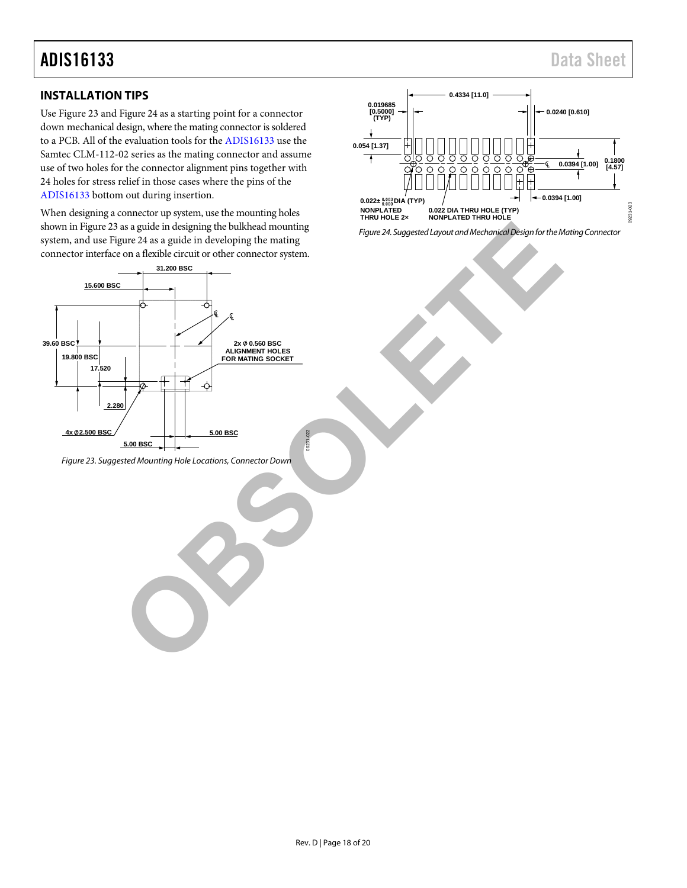# ADIS16133 Data Sheet

### <span id="page-17-0"></span>**INSTALLATION TIPS**

Us[e Figure](#page-17-1) 23 an[d Figure 24](#page-17-2) as a starting point for a connector down mechanical design, where the mating connector is soldered to a PCB. All of the evaluation tools for th[e ADIS16133](http://www.analog.com/ADIS16135?doc=ADIS16133.pdf) use the Samtec CLM-112-02 series as the mating connector and assume use of two holes for the connector alignment pins together with 24 holes for stress relief in those cases where the pins of the [ADIS16133](http://www.analog.com/ADIS16135?doc=ADIS16133.pdf) bottom out during insertion.

When designing a connector up system, use the mounting holes shown i[n Figure](#page-17-1) 23 as a guide in designing the bulkhead mounting system, and us[e Figure 24](#page-17-2) as a guide in developing the mating connector interface on a flexible circuit or other connector system.



<span id="page-17-1"></span>*Figure 23. Suggested Mounting Hole Locations, Connector Down*



<span id="page-17-2"></span>*Figure 24. Suggested Layout and Mechanical Design for the Mating Connector*

09231-022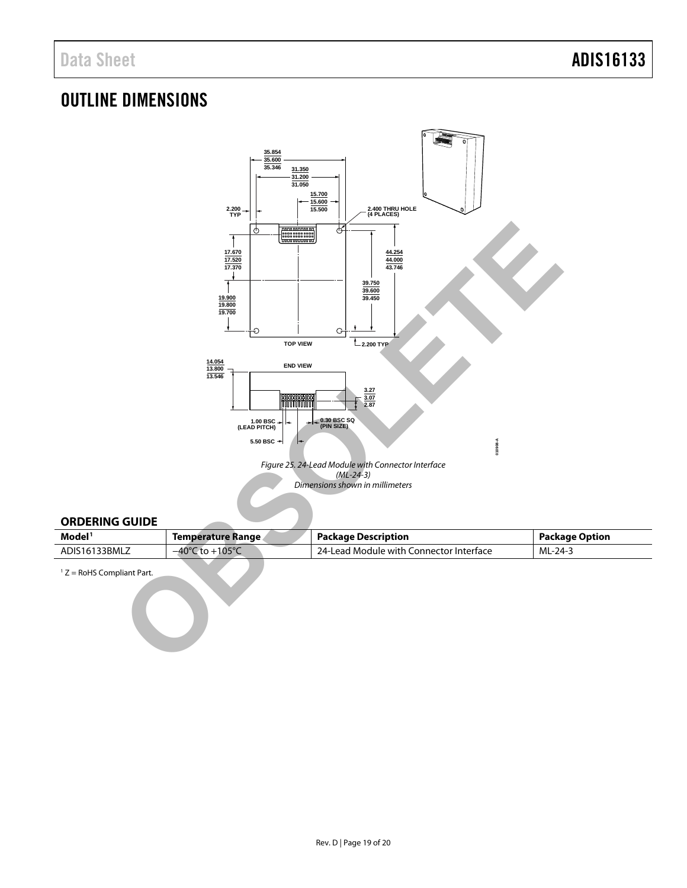### <span id="page-18-0"></span>OUTLINE DIMENSIONS



### <span id="page-18-1"></span>**ORDERING GUIDE**

| Model <sup>1</sup> | Temperature Range                            | <b>Package Description</b>                | <b>Package Option</b> |
|--------------------|----------------------------------------------|-------------------------------------------|-----------------------|
| ADIS16133BMLZ      | $+105^{\circ}$<br>$-40^{\circ}$<br>$\pm 0 +$ | . 24-Lead Module with Connector Interface | ML-24-3               |

 $1 Z =$  RoHS Compliant Part.